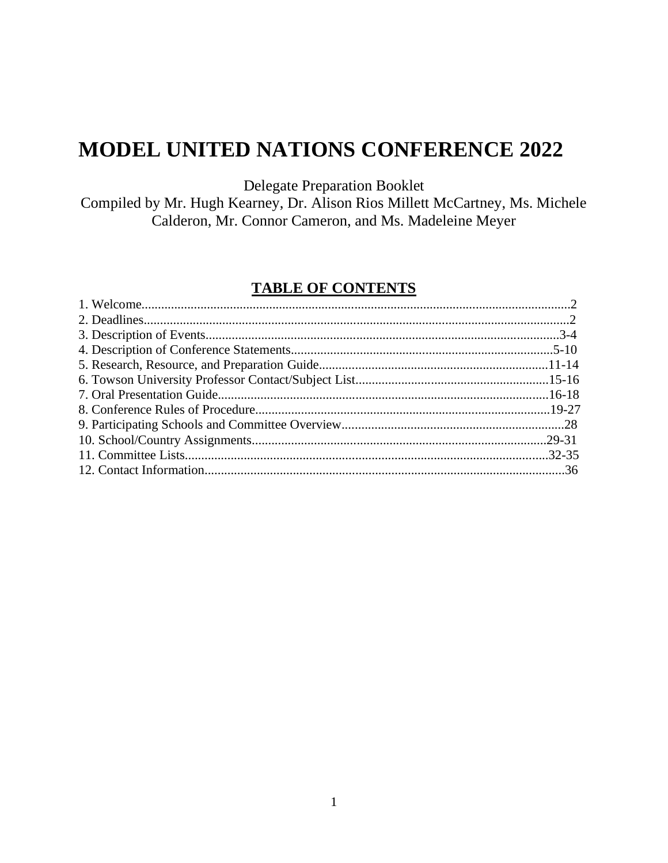# **MODEL UNITED NATIONS CONFERENCE 2022**

Delegate Preparation Booklet

Compiled by Mr. Hugh Kearney, Dr. Alison Rios Millett McCartney, Ms. Michele Calderon, Mr. Connor Cameron, and Ms. Madeleine Meyer

## **TABLE OF CONTENTS**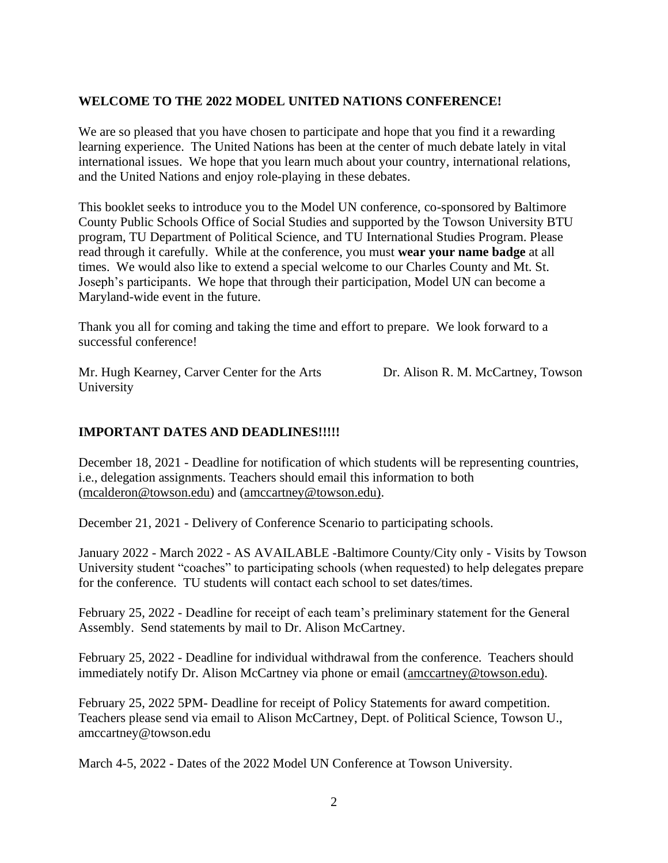## **WELCOME TO THE 2022 MODEL UNITED NATIONS CONFERENCE!**

We are so pleased that you have chosen to participate and hope that you find it a rewarding learning experience. The United Nations has been at the center of much debate lately in vital international issues. We hope that you learn much about your country, international relations, and the United Nations and enjoy role-playing in these debates.

This booklet seeks to introduce you to the Model UN conference, co-sponsored by Baltimore County Public Schools Office of Social Studies and supported by the Towson University BTU program, TU Department of Political Science, and TU International Studies Program. Please read through it carefully. While at the conference, you must **wear your name badge** at all times. We would also like to extend a special welcome to our Charles County and Mt. St. Joseph's participants. We hope that through their participation, Model UN can become a Maryland-wide event in the future.

Thank you all for coming and taking the time and effort to prepare. We look forward to a successful conference!

Mr. Hugh Kearney, Carver Center for the Arts Dr. Alison R. M. McCartney, Towson University

## **IMPORTANT DATES AND DEADLINES!!!!!**

December 18, 2021 - Deadline for notification of which students will be representing countries, i.e., delegation assignments. Teachers should email this information to both (mcalderon@towson.edu) and [\(amccartney@towson.edu\).](mailto:(amccartney@towson.edu))

December 21, 2021 - Delivery of Conference Scenario to participating schools.

January 2022 - March 2022 - AS AVAILABLE -Baltimore County/City only - Visits by Towson University student "coaches" to participating schools (when requested) to help delegates prepare for the conference. TU students will contact each school to set dates/times.

February 25, 2022 - Deadline for receipt of each team's preliminary statement for the General Assembly. Send statements by mail to Dr. Alison McCartney.

February 25, 2022 - Deadline for individual withdrawal from the conference. Teachers should immediately notify Dr. Alison McCartney via phone or email [\(amccartney@towson.edu\).](mailto:(amccartney@towson.edu))

February 25, 2022 5PM- Deadline for receipt of Policy Statements for award competition. Teachers please send via email to Alison McCartney, Dept. of Political Science, Towson U., amccartney@towson.edu

March 4-5, 2022 - Dates of the 2022 Model UN Conference at Towson University.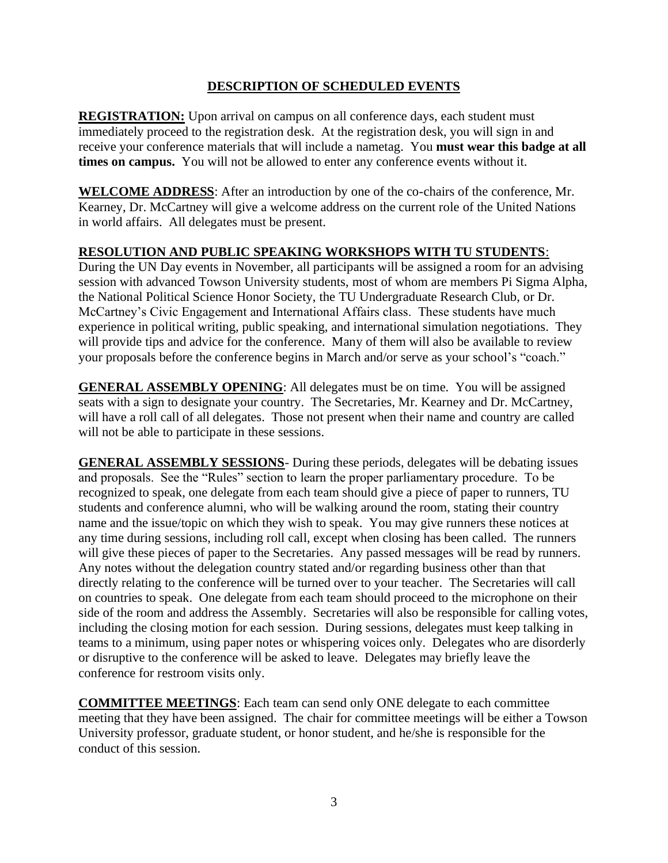## **DESCRIPTION OF SCHEDULED EVENTS**

**REGISTRATION:** Upon arrival on campus on all conference days, each student must immediately proceed to the registration desk. At the registration desk, you will sign in and receive your conference materials that will include a nametag. You **must wear this badge at all times on campus.** You will not be allowed to enter any conference events without it.

**WELCOME ADDRESS**: After an introduction by one of the co-chairs of the conference, Mr. Kearney, Dr. McCartney will give a welcome address on the current role of the United Nations in world affairs. All delegates must be present.

## **RESOLUTION AND PUBLIC SPEAKING WORKSHOPS WITH TU STUDENTS**:

During the UN Day events in November, all participants will be assigned a room for an advising session with advanced Towson University students, most of whom are members Pi Sigma Alpha, the National Political Science Honor Society, the TU Undergraduate Research Club, or Dr. McCartney's Civic Engagement and International Affairs class. These students have much experience in political writing, public speaking, and international simulation negotiations. They will provide tips and advice for the conference. Many of them will also be available to review your proposals before the conference begins in March and/or serve as your school's "coach."

**GENERAL ASSEMBLY OPENING**: All delegates must be on time. You will be assigned seats with a sign to designate your country. The Secretaries, Mr. Kearney and Dr. McCartney, will have a roll call of all delegates. Those not present when their name and country are called will not be able to participate in these sessions.

**GENERAL ASSEMBLY SESSIONS**- During these periods, delegates will be debating issues and proposals. See the "Rules" section to learn the proper parliamentary procedure. To be recognized to speak, one delegate from each team should give a piece of paper to runners, TU students and conference alumni, who will be walking around the room, stating their country name and the issue/topic on which they wish to speak. You may give runners these notices at any time during sessions, including roll call, except when closing has been called. The runners will give these pieces of paper to the Secretaries. Any passed messages will be read by runners. Any notes without the delegation country stated and/or regarding business other than that directly relating to the conference will be turned over to your teacher. The Secretaries will call on countries to speak. One delegate from each team should proceed to the microphone on their side of the room and address the Assembly. Secretaries will also be responsible for calling votes, including the closing motion for each session. During sessions, delegates must keep talking in teams to a minimum, using paper notes or whispering voices only. Delegates who are disorderly or disruptive to the conference will be asked to leave. Delegates may briefly leave the conference for restroom visits only.

**COMMITTEE MEETINGS**: Each team can send only ONE delegate to each committee meeting that they have been assigned. The chair for committee meetings will be either a Towson University professor, graduate student, or honor student, and he/she is responsible for the conduct of this session.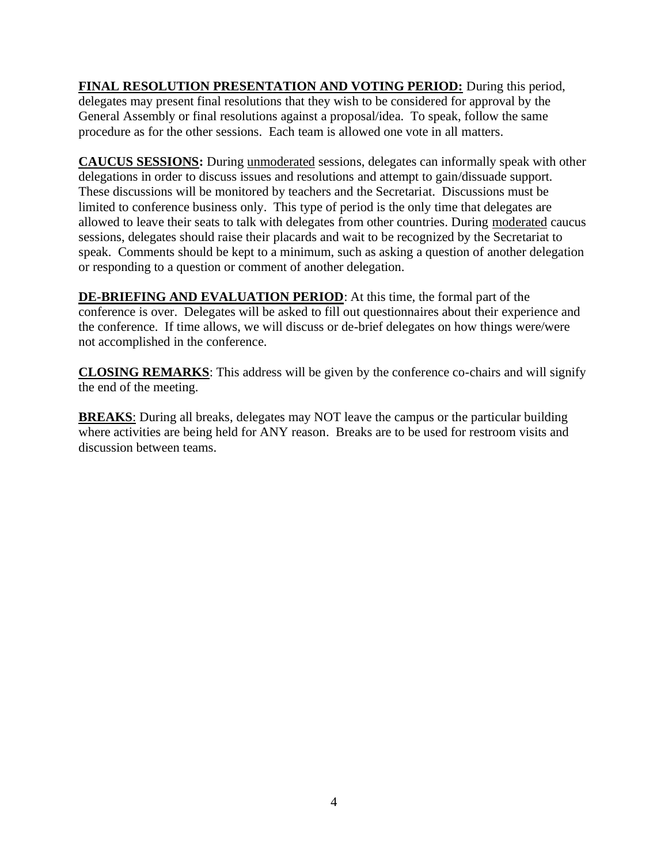**FINAL RESOLUTION PRESENTATION AND VOTING PERIOD:** During this period, delegates may present final resolutions that they wish to be considered for approval by the General Assembly or final resolutions against a proposal/idea. To speak, follow the same procedure as for the other sessions. Each team is allowed one vote in all matters.

**CAUCUS SESSIONS:** During unmoderated sessions, delegates can informally speak with other delegations in order to discuss issues and resolutions and attempt to gain/dissuade support. These discussions will be monitored by teachers and the Secretariat. Discussions must be limited to conference business only. This type of period is the only time that delegates are allowed to leave their seats to talk with delegates from other countries. During moderated caucus sessions, delegates should raise their placards and wait to be recognized by the Secretariat to speak. Comments should be kept to a minimum, such as asking a question of another delegation or responding to a question or comment of another delegation.

**DE-BRIEFING AND EVALUATION PERIOD**: At this time, the formal part of the conference is over. Delegates will be asked to fill out questionnaires about their experience and the conference. If time allows, we will discuss or de-brief delegates on how things were/were not accomplished in the conference.

**CLOSING REMARKS**: This address will be given by the conference co-chairs and will signify the end of the meeting.

**BREAKS**: During all breaks, delegates may NOT leave the campus or the particular building where activities are being held for ANY reason. Breaks are to be used for restroom visits and discussion between teams.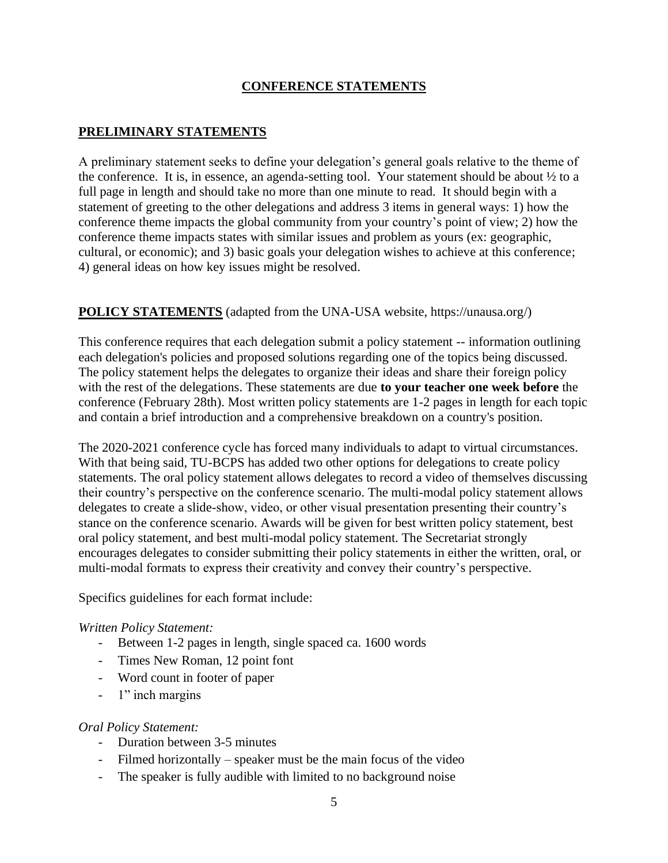## **CONFERENCE STATEMENTS**

## **PRELIMINARY STATEMENTS**

A preliminary statement seeks to define your delegation's general goals relative to the theme of the conference. It is, in essence, an agenda-setting tool. Your statement should be about ½ to a full page in length and should take no more than one minute to read. It should begin with a statement of greeting to the other delegations and address 3 items in general ways: 1) how the conference theme impacts the global community from your country's point of view; 2) how the conference theme impacts states with similar issues and problem as yours (ex: geographic, cultural, or economic); and 3) basic goals your delegation wishes to achieve at this conference; 4) general ideas on how key issues might be resolved.

## **POLICY STATEMENTS** (adapted from the UNA-USA website, https://unausa.org/)

This conference requires that each delegation submit a policy statement -- information outlining each delegation's policies and proposed solutions regarding one of the topics being discussed. The policy statement helps the delegates to organize their ideas and share their foreign policy with the rest of the delegations. These statements are due **to your teacher one week before** the conference (February 28th). Most written policy statements are 1-2 pages in length for each topic and contain a brief introduction and a comprehensive breakdown on a country's position.

The 2020-2021 conference cycle has forced many individuals to adapt to virtual circumstances. With that being said, TU-BCPS has added two other options for delegations to create policy statements. The oral policy statement allows delegates to record a video of themselves discussing their country's perspective on the conference scenario. The multi-modal policy statement allows delegates to create a slide-show, video, or other visual presentation presenting their country's stance on the conference scenario. Awards will be given for best written policy statement, best oral policy statement, and best multi-modal policy statement. The Secretariat strongly encourages delegates to consider submitting their policy statements in either the written, oral, or multi-modal formats to express their creativity and convey their country's perspective.

Specifics guidelines for each format include:

#### *Written Policy Statement:*

- Between 1-2 pages in length, single spaced ca. 1600 words
- Times New Roman, 12 point font
- Word count in footer of paper
- 1" inch margins

#### *Oral Policy Statement:*

- Duration between 3-5 minutes
- Filmed horizontally speaker must be the main focus of the video
- The speaker is fully audible with limited to no background noise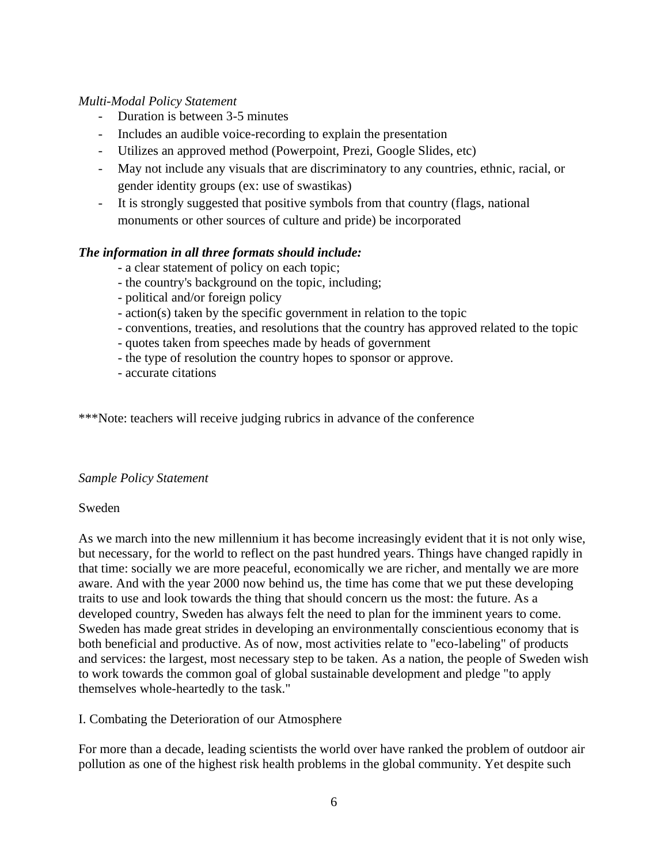## *Multi-Modal Policy Statement*

- Duration is between 3-5 minutes
- Includes an audible voice-recording to explain the presentation
- Utilizes an approved method (Powerpoint, Prezi, Google Slides, etc)
- May not include any visuals that are discriminatory to any countries, ethnic, racial, or gender identity groups (ex: use of swastikas)
- It is strongly suggested that positive symbols from that country (flags, national monuments or other sources of culture and pride) be incorporated

#### *The information in all three formats should include:*

- a clear statement of policy on each topic;

- the country's background on the topic, including;
- political and/or foreign policy
- action(s) taken by the specific government in relation to the topic
- conventions, treaties, and resolutions that the country has approved related to the topic
- quotes taken from speeches made by heads of government
- the type of resolution the country hopes to sponsor or approve.
- accurate citations

\*\*\*Note: teachers will receive judging rubrics in advance of the conference

#### *Sample Policy Statement*

#### Sweden

As we march into the new millennium it has become increasingly evident that it is not only wise, but necessary, for the world to reflect on the past hundred years. Things have changed rapidly in that time: socially we are more peaceful, economically we are richer, and mentally we are more aware. And with the year 2000 now behind us, the time has come that we put these developing traits to use and look towards the thing that should concern us the most: the future. As a developed country, Sweden has always felt the need to plan for the imminent years to come. Sweden has made great strides in developing an environmentally conscientious economy that is both beneficial and productive. As of now, most activities relate to "eco-labeling" of products and services: the largest, most necessary step to be taken. As a nation, the people of Sweden wish to work towards the common goal of global sustainable development and pledge "to apply themselves whole-heartedly to the task."

I. Combating the Deterioration of our Atmosphere

For more than a decade, leading scientists the world over have ranked the problem of outdoor air pollution as one of the highest risk health problems in the global community. Yet despite such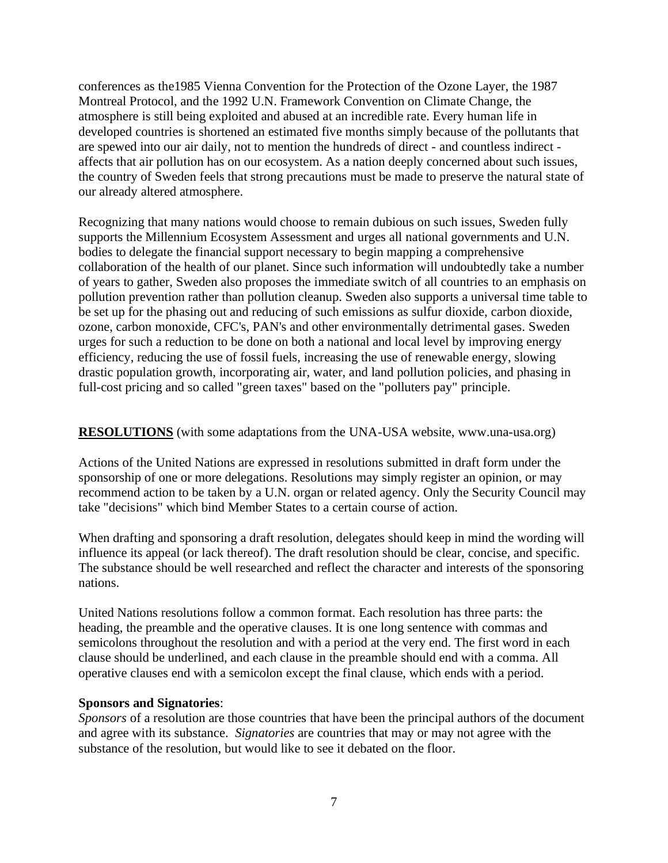conferences as the1985 Vienna Convention for the Protection of the Ozone Layer, the 1987 Montreal Protocol, and the 1992 U.N. Framework Convention on Climate Change, the atmosphere is still being exploited and abused at an incredible rate. Every human life in developed countries is shortened an estimated five months simply because of the pollutants that are spewed into our air daily, not to mention the hundreds of direct - and countless indirect affects that air pollution has on our ecosystem. As a nation deeply concerned about such issues, the country of Sweden feels that strong precautions must be made to preserve the natural state of our already altered atmosphere.

Recognizing that many nations would choose to remain dubious on such issues, Sweden fully supports the Millennium Ecosystem Assessment and urges all national governments and U.N. bodies to delegate the financial support necessary to begin mapping a comprehensive collaboration of the health of our planet. Since such information will undoubtedly take a number of years to gather, Sweden also proposes the immediate switch of all countries to an emphasis on pollution prevention rather than pollution cleanup. Sweden also supports a universal time table to be set up for the phasing out and reducing of such emissions as sulfur dioxide, carbon dioxide, ozone, carbon monoxide, CFC's, PAN's and other environmentally detrimental gases. Sweden urges for such a reduction to be done on both a national and local level by improving energy efficiency, reducing the use of fossil fuels, increasing the use of renewable energy, slowing drastic population growth, incorporating air, water, and land pollution policies, and phasing in full-cost pricing and so called "green taxes" based on the "polluters pay" principle.

#### **RESOLUTIONS** (with some adaptations from the UNA-USA website, www.una-usa.org)

Actions of the United Nations are expressed in resolutions submitted in draft form under the sponsorship of one or more delegations. Resolutions may simply register an opinion, or may recommend action to be taken by a U.N. organ or related agency. Only the Security Council may take "decisions" which bind Member States to a certain course of action.

When drafting and sponsoring a draft resolution, delegates should keep in mind the wording will influence its appeal (or lack thereof). The draft resolution should be clear, concise, and specific. The substance should be well researched and reflect the character and interests of the sponsoring nations.

United Nations resolutions follow a common format. Each resolution has three parts: the heading, the preamble and the operative clauses. It is one long sentence with commas and semicolons throughout the resolution and with a period at the very end. The first word in each clause should be underlined, and each clause in the preamble should end with a comma. All operative clauses end with a semicolon except the final clause, which ends with a period.

#### **Sponsors and Signatories**:

*Sponsors* of a resolution are those countries that have been the principal authors of the document and agree with its substance. *Signatories* are countries that may or may not agree with the substance of the resolution, but would like to see it debated on the floor.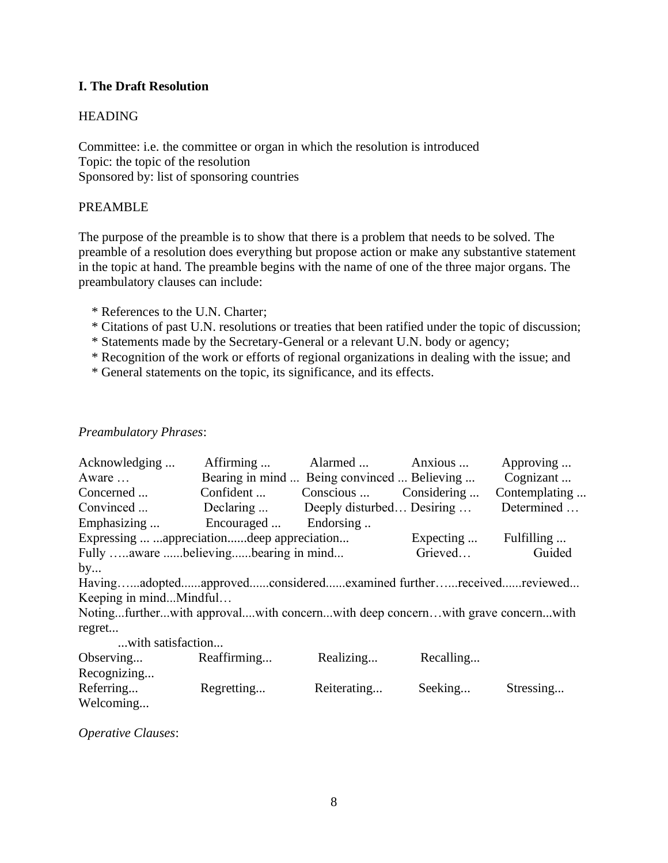## **I. The Draft Resolution**

## HEADING

Committee: i.e. the committee or organ in which the resolution is introduced Topic: the topic of the resolution Sponsored by: list of sponsoring countries

#### PREAMBLE

The purpose of the preamble is to show that there is a problem that needs to be solved. The preamble of a resolution does everything but propose action or make any substantive statement in the topic at hand. The preamble begins with the name of one of the three major organs. The preambulatory clauses can include:

- \* References to the U.N. Charter;
- \* Citations of past U.N. resolutions or treaties that been ratified under the topic of discussion;
- \* Statements made by the Secretary-General or a relevant U.N. body or agency;
- \* Recognition of the work or efforts of regional organizations in dealing with the issue; and
- \* General statements on the topic, its significance, and its effects.

#### *Preambulatory Phrases*:

| Acknowledging                                                                 | Affirming             | Alarmed                                     | Anxious               | Approving     |
|-------------------------------------------------------------------------------|-----------------------|---------------------------------------------|-----------------------|---------------|
| Aware                                                                         |                       | Bearing in mind  Being convinced  Believing |                       | Cognizant     |
| Concerned                                                                     | Confident             | Conscious                                   | Considering           | Contemplating |
| Convinced                                                                     |                       | Declaring  Deeply disturbed Desiring        |                       | Determined    |
| Emphasizing                                                                   | Encouraged  Endorsing |                                             |                       |               |
| Expressing  appreciationdeep appreciation                                     |                       |                                             | Expecting  Fulfilling |               |
| Fully aware believingbearing in mind                                          |                       |                                             | Grieved               | Guided        |
| by                                                                            |                       |                                             |                       |               |
| Havingadoptedapprovedconsideredexamined furtherreceivedreviewed               |                       |                                             |                       |               |
| Keeping in mindMindful                                                        |                       |                                             |                       |               |
| Notingfurtherwith approvalwith concernwith deep concernwith grave concernwith |                       |                                             |                       |               |
| regret                                                                        |                       |                                             |                       |               |
| with satisfaction                                                             |                       |                                             |                       |               |
| Observing                                                                     | Reaffirming           | Realizing                                   | Recalling             |               |
| Recognizing                                                                   |                       |                                             |                       |               |
| Referring                                                                     | Regretting            | Reiterating                                 | Seeking               | Stressing     |
| Welcoming                                                                     |                       |                                             |                       |               |

*Operative Clauses*: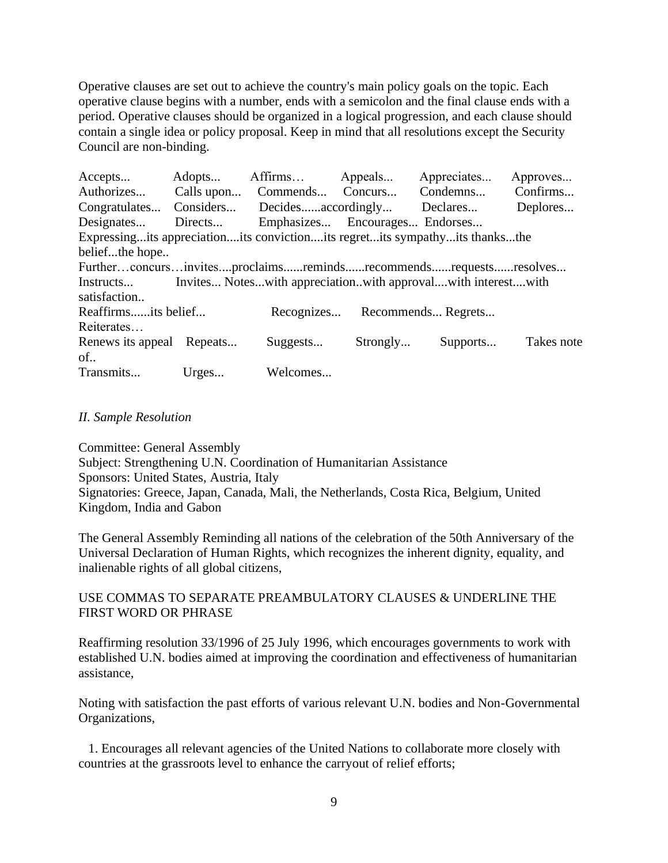Operative clauses are set out to achieve the country's main policy goals on the topic. Each operative clause begins with a number, ends with a semicolon and the final clause ends with a period. Operative clauses should be organized in a logical progression, and each clause should contain a single idea or policy proposal. Keep in mind that all resolutions except the Security Council are non-binding.

| Accepts                                                                           | Adopts  | Affirms                        | Appeals  | Appreciates                   | Approves   |
|-----------------------------------------------------------------------------------|---------|--------------------------------|----------|-------------------------------|------------|
| Authorizes                                                                        |         | Calls upon Commends Concurs    |          | Condemns                      | Confirms   |
| Congratulates                                                                     |         | Considers Decidesaccordingly   |          | Declares                      | Deplores   |
| Designates                                                                        | Directs | Emphasizes Encourages Endorses |          |                               |            |
| Expressing its appreciation its conviction its regret its sympathy its thanks the |         |                                |          |                               |            |
| beliefthe hope                                                                    |         |                                |          |                               |            |
| Furtherconcursinvitesproclaimsremindsrecommendsrequestsresolves                   |         |                                |          |                               |            |
| Invites Noteswith appreciationwith approvalwith interestwith<br>Instructs         |         |                                |          |                               |            |
| satisfaction                                                                      |         |                                |          |                               |            |
| Reaffirmsits belief                                                               |         |                                |          | Recognizes Recommends Regrets |            |
| Reiterates                                                                        |         |                                |          |                               |            |
| Renews its appeal Repeats                                                         |         | Suggests                       | Strongly | Supports                      | Takes note |
| of                                                                                |         |                                |          |                               |            |
| Transmits                                                                         | Urges   | Welcomes                       |          |                               |            |

#### *II. Sample Resolution*

Committee: General Assembly Subject: Strengthening U.N. Coordination of Humanitarian Assistance Sponsors: United States, Austria, Italy Signatories: Greece, Japan, Canada, Mali, the Netherlands, Costa Rica, Belgium, United Kingdom, India and Gabon

The General Assembly Reminding all nations of the celebration of the 50th Anniversary of the Universal Declaration of Human Rights, which recognizes the inherent dignity, equality, and inalienable rights of all global citizens,

#### USE COMMAS TO SEPARATE PREAMBULATORY CLAUSES & UNDERLINE THE FIRST WORD OR PHRASE

Reaffirming resolution 33/1996 of 25 July 1996, which encourages governments to work with established U.N. bodies aimed at improving the coordination and effectiveness of humanitarian assistance,

Noting with satisfaction the past efforts of various relevant U.N. bodies and Non-Governmental Organizations,

 1. Encourages all relevant agencies of the United Nations to collaborate more closely with countries at the grassroots level to enhance the carryout of relief efforts;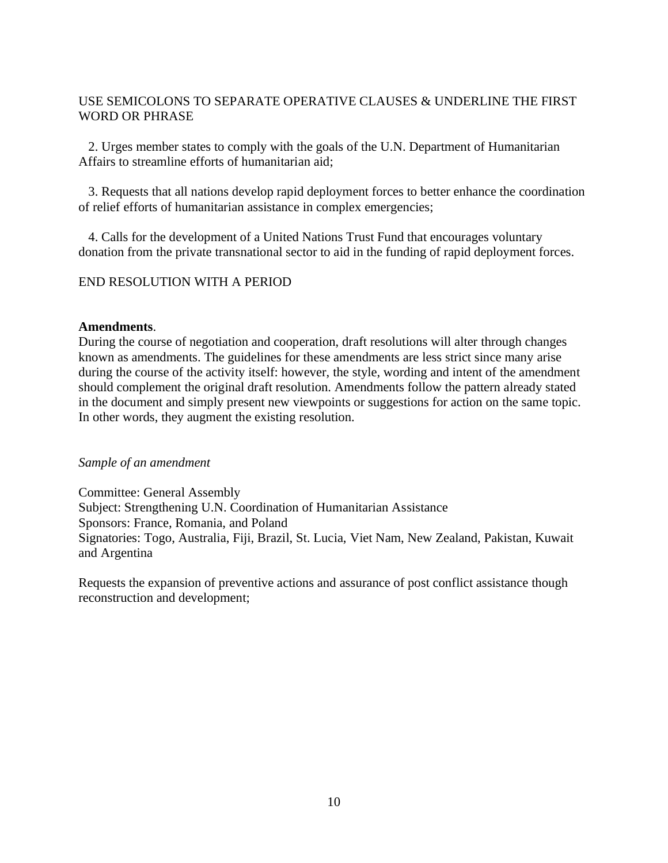## USE SEMICOLONS TO SEPARATE OPERATIVE CLAUSES & UNDERLINE THE FIRST WORD OR PHRASE

 2. Urges member states to comply with the goals of the U.N. Department of Humanitarian Affairs to streamline efforts of humanitarian aid;

 3. Requests that all nations develop rapid deployment forces to better enhance the coordination of relief efforts of humanitarian assistance in complex emergencies;

 4. Calls for the development of a United Nations Trust Fund that encourages voluntary donation from the private transnational sector to aid in the funding of rapid deployment forces.

## END RESOLUTION WITH A PERIOD

#### **Amendments**.

During the course of negotiation and cooperation, draft resolutions will alter through changes known as amendments. The guidelines for these amendments are less strict since many arise during the course of the activity itself: however, the style, wording and intent of the amendment should complement the original draft resolution. Amendments follow the pattern already stated in the document and simply present new viewpoints or suggestions for action on the same topic. In other words, they augment the existing resolution.

#### *Sample of an amendment*

Committee: General Assembly Subject: Strengthening U.N. Coordination of Humanitarian Assistance Sponsors: France, Romania, and Poland Signatories: Togo, Australia, Fiji, Brazil, St. Lucia, Viet Nam, New Zealand, Pakistan, Kuwait and Argentina

Requests the expansion of preventive actions and assurance of post conflict assistance though reconstruction and development;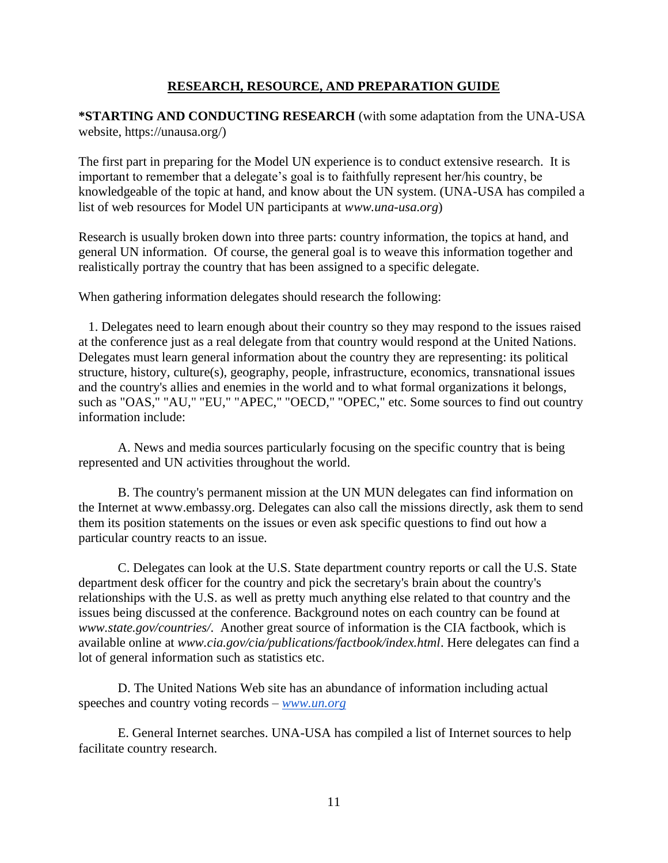## **RESEARCH, RESOURCE, AND PREPARATION GUIDE**

**\*STARTING AND CONDUCTING RESEARCH** (with some adaptation from the UNA-USA website, https://unausa.org/)

The first part in preparing for the Model UN experience is to conduct extensive research. It is important to remember that a delegate's goal is to faithfully represent her/his country, be knowledgeable of the topic at hand, and know about the UN system. (UNA-USA has compiled a list of web resources for Model UN participants at *www.una-usa.org*)

Research is usually broken down into three parts: country information, the topics at hand, and general UN information. Of course, the general goal is to weave this information together and realistically portray the country that has been assigned to a specific delegate.

When gathering information delegates should research the following:

 1. Delegates need to learn enough about their country so they may respond to the issues raised at the conference just as a real delegate from that country would respond at the United Nations. Delegates must learn general information about the country they are representing: its political structure, history, culture(s), geography, people, infrastructure, economics, transnational issues and the country's allies and enemies in the world and to what formal organizations it belongs, such as "OAS," "AU," "EU," "APEC," "OECD," "OPEC," etc. Some sources to find out country information include:

 A. News and media sources particularly focusing on the specific country that is being represented and UN activities throughout the world.

 B. The country's permanent mission at the UN MUN delegates can find information on the Internet at www.embassy.org. Delegates can also call the missions directly, ask them to send them its position statements on the issues or even ask specific questions to find out how a particular country reacts to an issue.

 C. Delegates can look at the U.S. State department country reports or call the U.S. State department desk officer for the country and pick the secretary's brain about the country's relationships with the U.S. as well as pretty much anything else related to that country and the issues being discussed at the conference. Background notes on each country can be found at *www.state.gov/countries/*. Another great source of information is the CIA factbook, which is available online at *www.cia.gov/cia/publications/factbook/index.html*. Here delegates can find a lot of general information such as statistics etc.

 D. The United Nations Web site has an abundance of information including actual speeches and country voting records – *[www.un.org](http://www.un.org/)*

 E. General Internet searches. UNA-USA has compiled a list of Internet sources to help facilitate country research.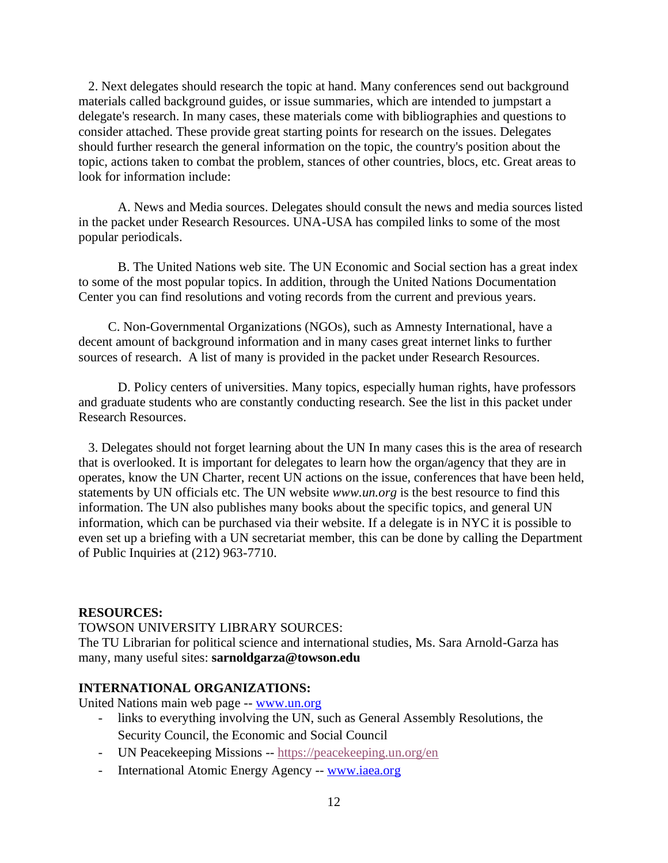2. Next delegates should research the topic at hand. Many conferences send out background materials called background guides, or issue summaries, which are intended to jumpstart a delegate's research. In many cases, these materials come with bibliographies and questions to consider attached. These provide great starting points for research on the issues. Delegates should further research the general information on the topic, the country's position about the topic, actions taken to combat the problem, stances of other countries, blocs, etc. Great areas to look for information include:

 A. News and Media sources. Delegates should consult the news and media sources listed in the packet under Research Resources. UNA-USA has compiled links to some of the most popular periodicals.

 B. The United Nations web site. The UN Economic and Social section has a great index to some of the most popular topics. In addition, through the United Nations Documentation Center you can find resolutions and voting records from the current and previous years.

 C. Non-Governmental Organizations (NGOs), such as Amnesty International, have a decent amount of background information and in many cases great internet links to further sources of research. A list of many is provided in the packet under Research Resources.

 D. Policy centers of universities. Many topics, especially human rights, have professors and graduate students who are constantly conducting research. See the list in this packet under Research Resources.

 3. Delegates should not forget learning about the UN In many cases this is the area of research that is overlooked. It is important for delegates to learn how the organ/agency that they are in operates, know the UN Charter, recent UN actions on the issue, conferences that have been held, statements by UN officials etc. The UN website *www.un.org* is the best resource to find this information. The UN also publishes many books about the specific topics, and general UN information, which can be purchased via their website. If a delegate is in NYC it is possible to even set up a briefing with a UN secretariat member, this can be done by calling the Department of Public Inquiries at (212) 963-7710.

#### **RESOURCES:**

TOWSON UNIVERSITY LIBRARY SOURCES: The TU Librarian for political science and international studies, Ms. Sara Arnold-Garza has many, many useful sites: **sarnoldgarza@towson.edu**

#### **INTERNATIONAL ORGANIZATIONS:**

United Nations main web page -[-](http://www.un.org/) [www.un.org](http://www.un.org/)

- links to everything involving the UN, such as General Assembly Resolutions, the Security Council, the Economic and Social Council
- [-](https://peacekeeping.un.org/en) UN Peacekeeping Missions -- <https://peacekeeping.un.org/en>
- International Atomic Energy Agency -- [www.iaea.org](http://www.iaea.org/)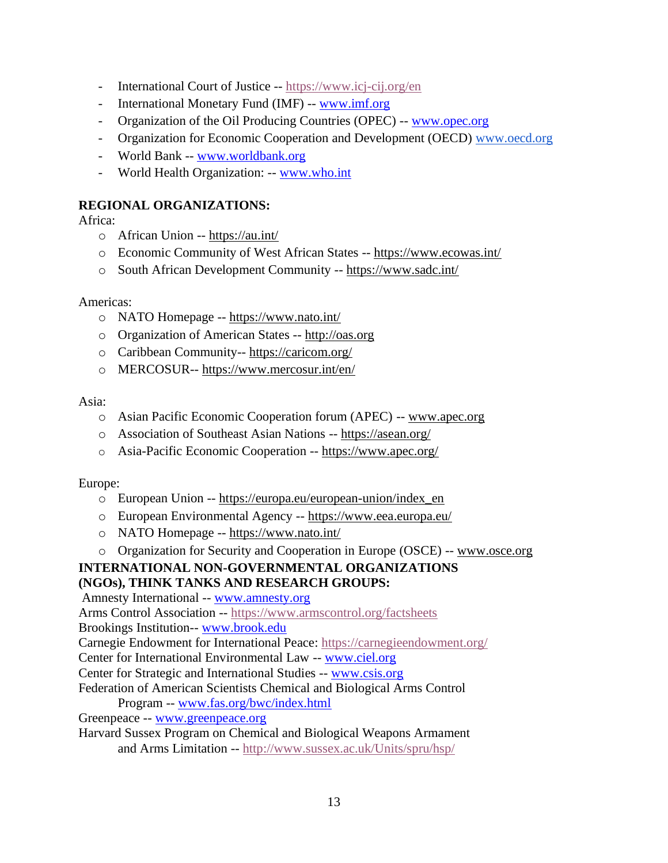- International Court of Justice -- <https://www.icj-cij.org/en>
- International Monetary Fund (IMF) -- [www.imf.org](http://www.imf.org/)
- Organization of the Oil Producing Countries (OPEC) -- [www.opec.org](http://www.opec.org/)
- Organization for Economic Cooperation and Development (OECD) [www.oecd.org](http://www.oecd.org/)
- World Bank -- [www.worldbank.org](http://www.worldbank.org/)
- World Health Organization: -- [www.who.int](http://www.who.int/)

## **REGIONAL ORGANIZATIONS:**

Africa:

- o African Union -[-](https://au.int/) <https://au.int/>
- o Economic Community of West African States -- <https://www.ecowas.int/>
- o South African Development Community -- <https://www.sadc.int/>

#### Americas:

- o NATO Homepage -- <https://www.nato.int/>
- o Organization of American States -[-](http://oas.org/) [http://oas.org](http://oas.org/)
- o Caribbean Community-- <https://caricom.org/>
- o MERCOSUR-- <https://www.mercosur.int/en/>

#### Asia:

- o Asian Pacific Economic Cooperation forum (APEC) -- [www.apec.org](http://www.apec.org/)
- o Association of Southeast Asian Nations -- <https://asean.org/>
- o Asia-Pacific Economic Cooperation -- <https://www.apec.org/>

Europe:

- o European Union -- [https://europa.eu/european-union/index\\_en](https://europa.eu/european-union/index_en)
- o European Environmental Agency -- <https://www.eea.europa.eu/>
- o NATO Homepage -- <https://www.nato.int/>
- o Organization for Security and Cooperation in Europe (OSCE) -[-](http://www.osce.org/) [www.osce.org](http://www.osce.org/)

#### **INTERNATIONAL NON-GOVERNMENTAL ORGANIZATIONS (NGOs), THINK TANKS AND RESEARCH GROUPS:**

Amnesty International -[-](http://www.amnesty.org/) [www.amnesty.org](http://www.amnesty.org/)

Arms Control Association -- <https://www.armscontrol.org/factsheets>

Brookings Institution-- [www.brook.edu](http://www.brook.edu/)

Carnegie Endowment for International Peace: <https://carnegieendowment.org/>

- Center for International Environmental Law -- [www.ciel.org](http://www.ciel.org/)
- Center for Strategic and International Studies -[-](http://www.csis.org/) [www.csis.org](http://www.csis.org/)
- Federation of American Scientists Chemical and Biological Arms Control Program -- [www.fas.org/bwc/index.html](http://www.fas.org/)
- Greenpeace -- [www.greenpeace.org](http://www.greenpeace.org/)
- Harvard Sussex Program on Chemical and Biological Weapons Armament and Arms Limitation -[-](http://www.sussex.ac.uk/Units/spru/hsp/) <http://www.sussex.ac.uk/Units/spru/hsp/>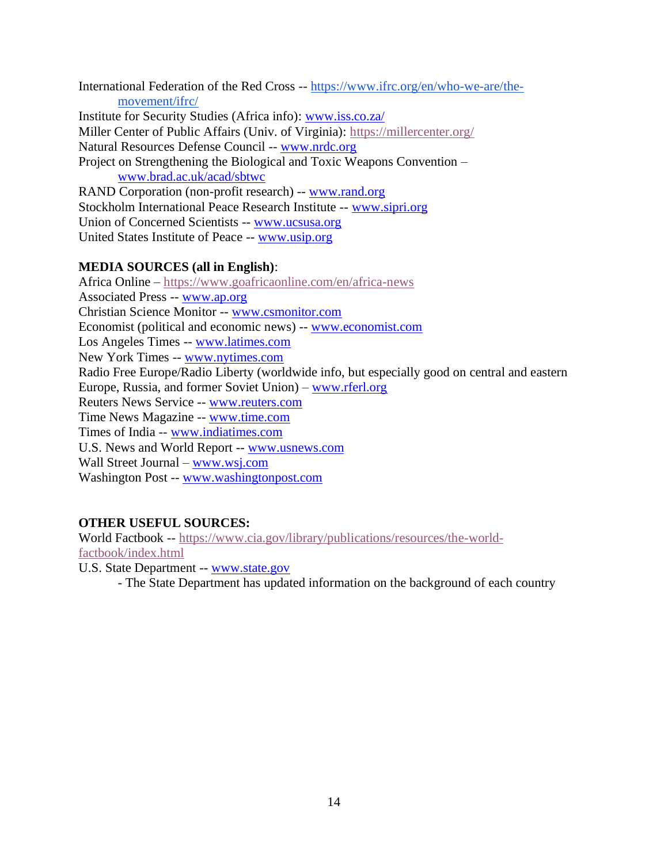International Federation of the Red Cross -- [https://www.ifrc.org/en/who-we-are/the](https://www.ifrc.org/en/who-we-are/the-movement/ifrc/)[movement/ifrc/](https://www.ifrc.org/en/who-we-are/the-movement/ifrc/) Institute for Security Studies (Africa info): [www.iss.co.za/](http://www.iss.co.za/) Miller Center of Public Affairs (Univ. of Virginia): <https://millercenter.org/> Natural Resources Defense Council -- [www.nrdc.org](http://www.nrdc.org/) Project on Strengthening the Biological and Toxic Weapons Convention – [www.brad.ac.uk/acad/sbtwc](http://www.brad.ac.uk/) RAND Corporation (non-profit research) -- [www.rand.org](http://www.rand.org/) Stockholm International Peace Research Institute -[-](http://www.sipri.org/) [www.sipri.org](http://www.sipri.org/) Union of Concerned Scientists -- [www.ucsusa.org](http://www.ucsusa.org/)

## United States Institute of Peace -[-](http://www.usip.org/) [www.usip.org](http://www.usip.org/)

## **MEDIA SOURCES (all in English)**:

Africa Online – <https://www.goafricaonline.com/en/africa-news> Associated Press -[-](http://www.ap.org/) [www.ap.org](http://www.ap.org/) Christian Science Monitor -[-](http://www.csmonitor.com/) [www.csmonitor.com](http://www.csmonitor.com/) Economist (political and economic news) -- [www.economist.com](http://www.economist.com/) Los Angeles Times -- [www.latimes.com](http://www.latimes.com/) New York Times -- [www.nytimes.com](http://www.nytimes.com/) Radio Free Europe/Radio Liberty (worldwide info, but especially good on central and eastern Europe, Russia, and former Soviet Union) – [www.rferl.org](http://www.rferl.org/) Reuters News Service -- [www.reuters.com](http://www.reuters.com/) Time News Magazine -- [www.time.com](http://www.time.com/) Times of India -[-](http://www.indiatimes.com/) [www.indiatimes.com](http://www.indiatimes.com/) U.S. News and World Report -- [www.usnews.com](http://www.usnews.com/) Wall Street Journal [–](http://www.wsj.com/) [www.wsj.com](http://www.wsj.com/) Washington Post -[-](http://www.washingtonpost.com/) [www.washingtonpost.com](http://www.washingtonpost.com/)

## **OTHER USEFUL SOURCES:**

World Factbook -- [https://www.cia.gov/library/publications/resources/the-world](https://www.cia.gov/library/publications/resources/the-world-factbook/index.html)[factbook/index.html](https://www.cia.gov/library/publications/resources/the-world-factbook/index.html)

U.S. State Department -- [www.state.gov](http://www.state.gov/)

- The State Department has updated information on the background of each country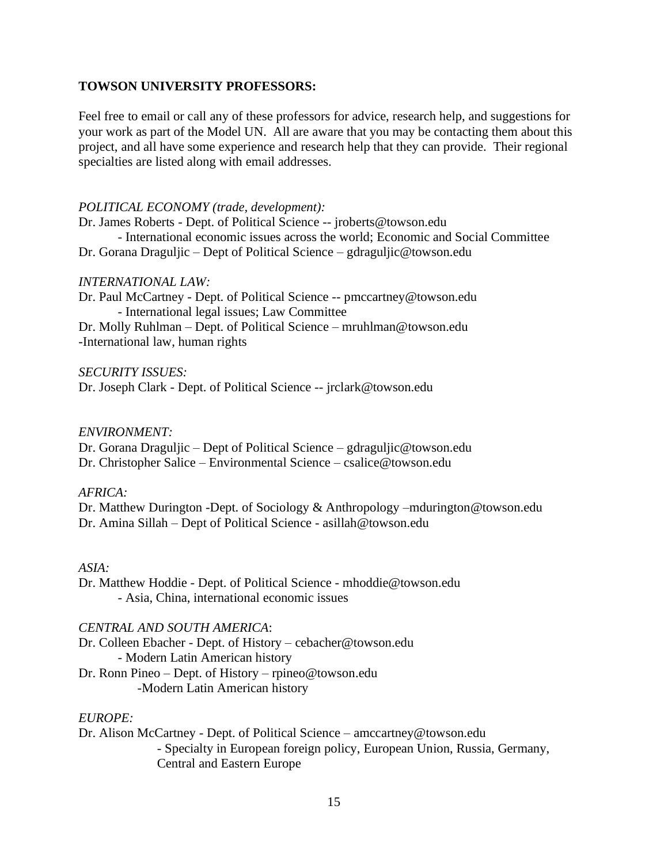#### **TOWSON UNIVERSITY PROFESSORS:**

Feel free to email or call any of these professors for advice, research help, and suggestions for your work as part of the Model UN. All are aware that you may be contacting them about this project, and all have some experience and research help that they can provide. Their regional specialties are listed along with email addresses.

#### *POLITICAL ECONOMY (trade, development):*

Dr. James Roberts - Dept. of Political Science -- jroberts@towson.edu - International economic issues across the world; Economic and Social Committee Dr. Gorana Draguljic – Dept of Political Science – gdraguljic@towson.edu

#### *INTERNATIONAL LAW:*

Dr. Paul McCartney - Dept. of Political Science -- pmccartney@towson.edu - International legal issues; Law Committee Dr. Molly Ruhlman – Dept. of Political Science – mruhlman@towson.edu

-International law, human rights

#### *SECURITY ISSUES:*

Dr. Joseph Clark - Dept. of Political Science -- jrclark@towson.edu

#### *ENVIRONMENT:*

Dr. Gorana Draguljic – Dept of Political Science – gdraguljic@towson.edu Dr. Christopher Salice – Environmental Science – csalice@towson.edu

#### *AFRICA:*

Dr. Matthew Durington -Dept. of Sociology & Anthropology –mdurington@towson.edu Dr. Amina Sillah – Dept of Political Science - asillah@towson.edu

#### *ASIA:*

Dr. Matthew Hoddie - Dept. of Political Science - mhoddie@towson.edu - Asia, China, international economic issues

#### *CENTRAL AND SOUTH AMERICA*:

Dr. Colleen Ebacher - Dept. of History – cebacher@towson.edu - Modern Latin American history Dr. Ronn Pineo – Dept. of History – rpineo@towson.edu -Modern Latin American history

#### *EUROPE:*

Dr. Alison McCartney - Dept. of Political Science – amccartney@towson.edu - Specialty in European foreign policy, European Union, Russia, Germany, Central and Eastern Europe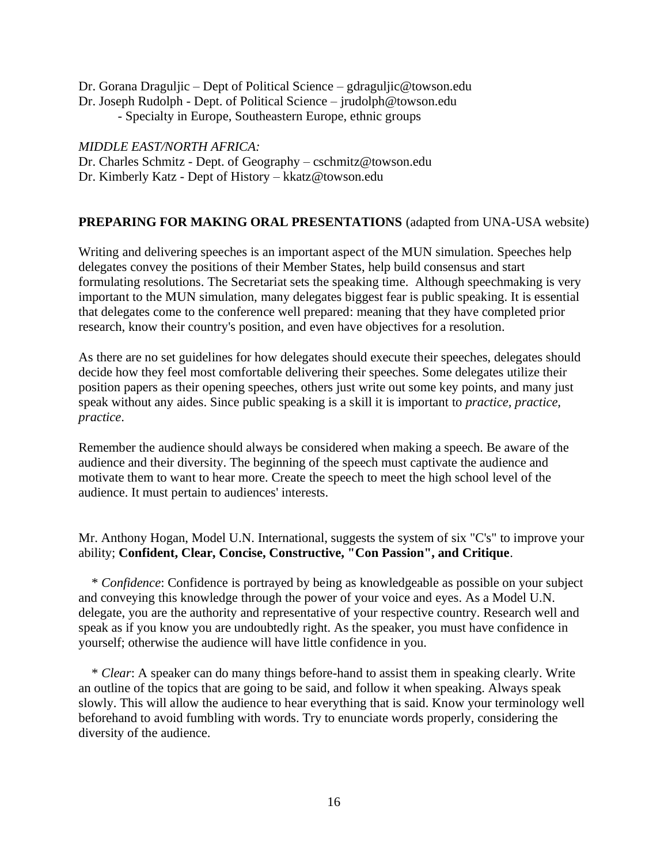Dr. Gorana Draguljic – Dept of Political Science – gdraguljic@towson.edu Dr. Joseph Rudolph - Dept. of Political Science – jrudolph@towson.edu - Specialty in Europe, Southeastern Europe, ethnic groups

*MIDDLE EAST/NORTH AFRICA:*

Dr. Charles Schmitz - Dept. of Geography – cschmitz@towson.edu

Dr. Kimberly Katz - Dept of History – kkatz@towson.edu

## **PREPARING FOR MAKING ORAL PRESENTATIONS** (adapted from UNA-USA website)

Writing and delivering speeches is an important aspect of the MUN simulation. Speeches help delegates convey the positions of their Member States, help build consensus and start formulating resolutions. The Secretariat sets the speaking time. Although speechmaking is very important to the MUN simulation, many delegates biggest fear is public speaking. It is essential that delegates come to the conference well prepared: meaning that they have completed prior research, know their country's position, and even have objectives for a resolution.

As there are no set guidelines for how delegates should execute their speeches, delegates should decide how they feel most comfortable delivering their speeches. Some delegates utilize their position papers as their opening speeches, others just write out some key points, and many just speak without any aides. Since public speaking is a skill it is important to *practice, practice, practice*.

Remember the audience should always be considered when making a speech. Be aware of the audience and their diversity. The beginning of the speech must captivate the audience and motivate them to want to hear more. Create the speech to meet the high school level of the audience. It must pertain to audiences' interests.

Mr. Anthony Hogan, Model U.N. International, suggests the system of six "C's" to improve your ability; **Confident, Clear, Concise, Constructive, "Con Passion", and Critique**.

 \* *Confidence*: Confidence is portrayed by being as knowledgeable as possible on your subject and conveying this knowledge through the power of your voice and eyes. As a Model U.N. delegate, you are the authority and representative of your respective country. Research well and speak as if you know you are undoubtedly right. As the speaker, you must have confidence in yourself; otherwise the audience will have little confidence in you.

 \* *Clear*: A speaker can do many things before-hand to assist them in speaking clearly. Write an outline of the topics that are going to be said, and follow it when speaking. Always speak slowly. This will allow the audience to hear everything that is said. Know your terminology well beforehand to avoid fumbling with words. Try to enunciate words properly, considering the diversity of the audience.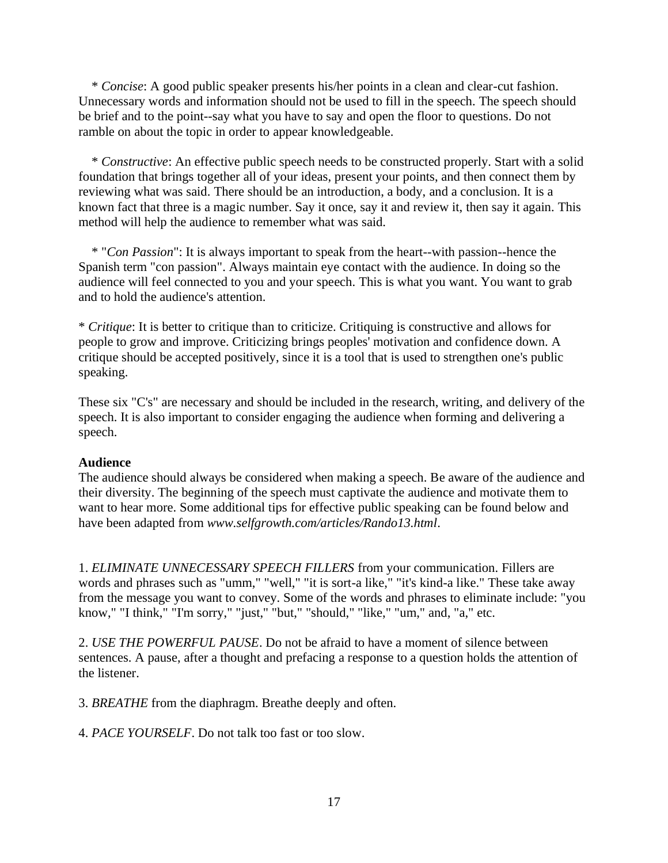\* *Concise*: A good public speaker presents his/her points in a clean and clear-cut fashion. Unnecessary words and information should not be used to fill in the speech. The speech should be brief and to the point--say what you have to say and open the floor to questions. Do not ramble on about the topic in order to appear knowledgeable.

 \* *Constructive*: An effective public speech needs to be constructed properly. Start with a solid foundation that brings together all of your ideas, present your points, and then connect them by reviewing what was said. There should be an introduction, a body, and a conclusion. It is a known fact that three is a magic number. Say it once, say it and review it, then say it again. This method will help the audience to remember what was said.

 \* "*Con Passion*": It is always important to speak from the heart--with passion--hence the Spanish term "con passion". Always maintain eye contact with the audience. In doing so the audience will feel connected to you and your speech. This is what you want. You want to grab and to hold the audience's attention.

\* *Critique*: It is better to critique than to criticize. Critiquing is constructive and allows for people to grow and improve. Criticizing brings peoples' motivation and confidence down. A critique should be accepted positively, since it is a tool that is used to strengthen one's public speaking.

These six "C's" are necessary and should be included in the research, writing, and delivery of the speech. It is also important to consider engaging the audience when forming and delivering a speech.

#### **Audience**

The audience should always be considered when making a speech. Be aware of the audience and their diversity. The beginning of the speech must captivate the audience and motivate them to want to hear more. Some additional tips for effective public speaking can be found below and have been adapted from *www.selfgrowth.com/articles/Rando13.html*.

1. *ELIMINATE UNNECESSARY SPEECH FILLERS* from your communication. Fillers are words and phrases such as "umm," "well," "it is sort-a like," "it's kind-a like." These take away from the message you want to convey. Some of the words and phrases to eliminate include: "you know," "I think," "I'm sorry," "just," "but," "should," "like," "um," and, "a," etc.

2. *USE THE POWERFUL PAUSE*. Do not be afraid to have a moment of silence between sentences. A pause, after a thought and prefacing a response to a question holds the attention of the listener.

3. *BREATHE* from the diaphragm. Breathe deeply and often.

4. *PACE YOURSELF*. Do not talk too fast or too slow.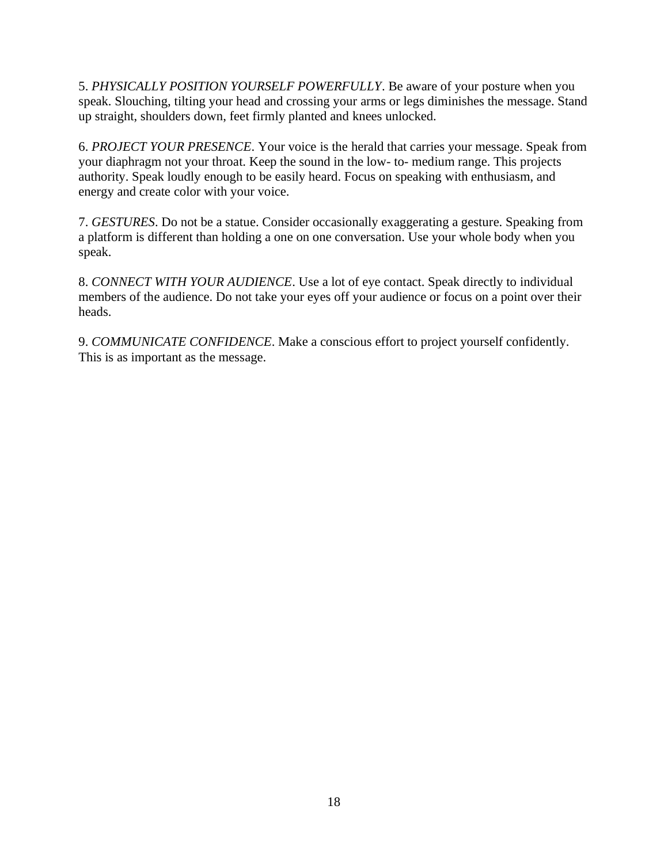5. *PHYSICALLY POSITION YOURSELF POWERFULLY*. Be aware of your posture when you speak. Slouching, tilting your head and crossing your arms or legs diminishes the message. Stand up straight, shoulders down, feet firmly planted and knees unlocked.

6. *PROJECT YOUR PRESENCE*. Your voice is the herald that carries your message. Speak from your diaphragm not your throat. Keep the sound in the low- to- medium range. This projects authority. Speak loudly enough to be easily heard. Focus on speaking with enthusiasm, and energy and create color with your voice.

7. *GESTURES*. Do not be a statue. Consider occasionally exaggerating a gesture. Speaking from a platform is different than holding a one on one conversation. Use your whole body when you speak.

8. *CONNECT WITH YOUR AUDIENCE*. Use a lot of eye contact. Speak directly to individual members of the audience. Do not take your eyes off your audience or focus on a point over their heads.

9. *COMMUNICATE CONFIDENCE*. Make a conscious effort to project yourself confidently. This is as important as the message.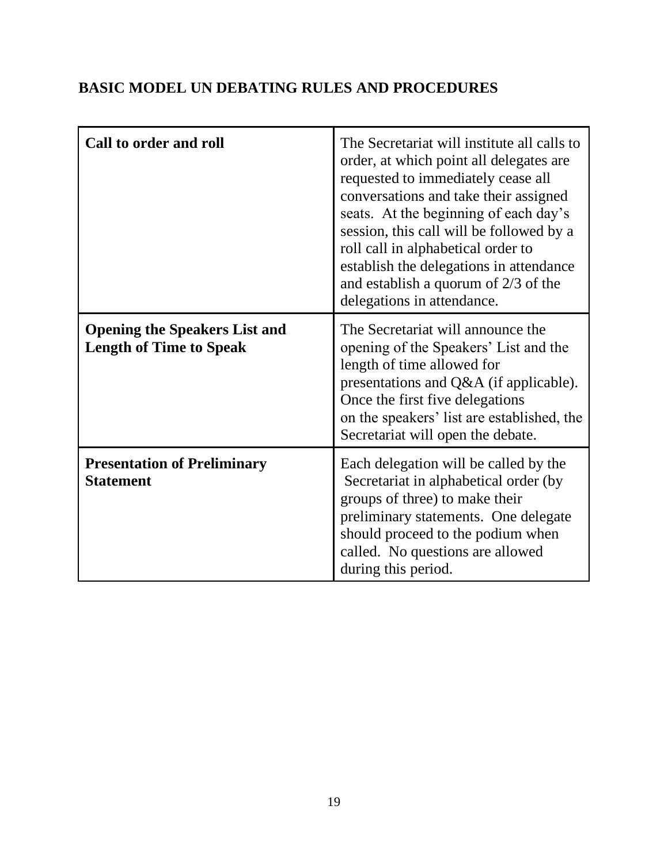## **BASIC MODEL UN DEBATING RULES AND PROCEDURES**

| Call to order and roll                                                 | The Secretariat will institute all calls to<br>order, at which point all delegates are<br>requested to immediately cease all<br>conversations and take their assigned<br>seats. At the beginning of each day's<br>session, this call will be followed by a<br>roll call in alphabetical order to<br>establish the delegations in attendance<br>and establish a quorum of $2/3$ of the<br>delegations in attendance. |
|------------------------------------------------------------------------|---------------------------------------------------------------------------------------------------------------------------------------------------------------------------------------------------------------------------------------------------------------------------------------------------------------------------------------------------------------------------------------------------------------------|
| <b>Opening the Speakers List and</b><br><b>Length of Time to Speak</b> | The Secretariat will announce the<br>opening of the Speakers' List and the<br>length of time allowed for<br>presentations and Q&A (if applicable).<br>Once the first five delegations<br>on the speakers' list are established, the<br>Secretariat will open the debate.                                                                                                                                            |
| <b>Presentation of Preliminary</b><br><b>Statement</b>                 | Each delegation will be called by the<br>Secretariat in alphabetical order (by<br>groups of three) to make their<br>preliminary statements. One delegate<br>should proceed to the podium when<br>called. No questions are allowed<br>during this period.                                                                                                                                                            |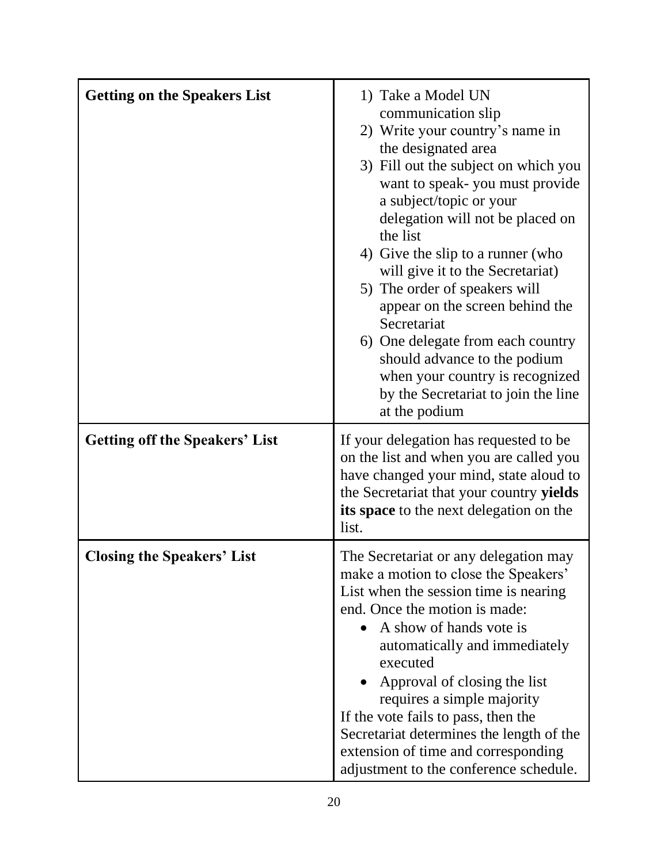| <b>Getting on the Speakers List</b>   | 1) Take a Model UN<br>communication slip<br>2) Write your country's name in<br>the designated area<br>3) Fill out the subject on which you<br>want to speak-you must provide<br>a subject/topic or your<br>delegation will not be placed on<br>the list<br>4) Give the slip to a runner (who<br>will give it to the Secretariat)<br>5) The order of speakers will<br>appear on the screen behind the<br>Secretariat<br>6) One delegate from each country<br>should advance to the podium<br>when your country is recognized<br>by the Secretariat to join the line<br>at the podium |
|---------------------------------------|-------------------------------------------------------------------------------------------------------------------------------------------------------------------------------------------------------------------------------------------------------------------------------------------------------------------------------------------------------------------------------------------------------------------------------------------------------------------------------------------------------------------------------------------------------------------------------------|
| <b>Getting off the Speakers' List</b> | If your delegation has requested to be<br>on the list and when you are called you<br>have changed your mind, state aloud to<br>the Secretariat that your country yields<br>its space to the next delegation on the<br>list.                                                                                                                                                                                                                                                                                                                                                         |
| <b>Closing the Speakers' List</b>     | The Secretariat or any delegation may<br>make a motion to close the Speakers'<br>List when the session time is nearing<br>end. Once the motion is made:<br>A show of hands vote is<br>automatically and immediately<br>executed<br>Approval of closing the list<br>requires a simple majority<br>If the vote fails to pass, then the<br>Secretariat determines the length of the<br>extension of time and corresponding<br>adjustment to the conference schedule.                                                                                                                   |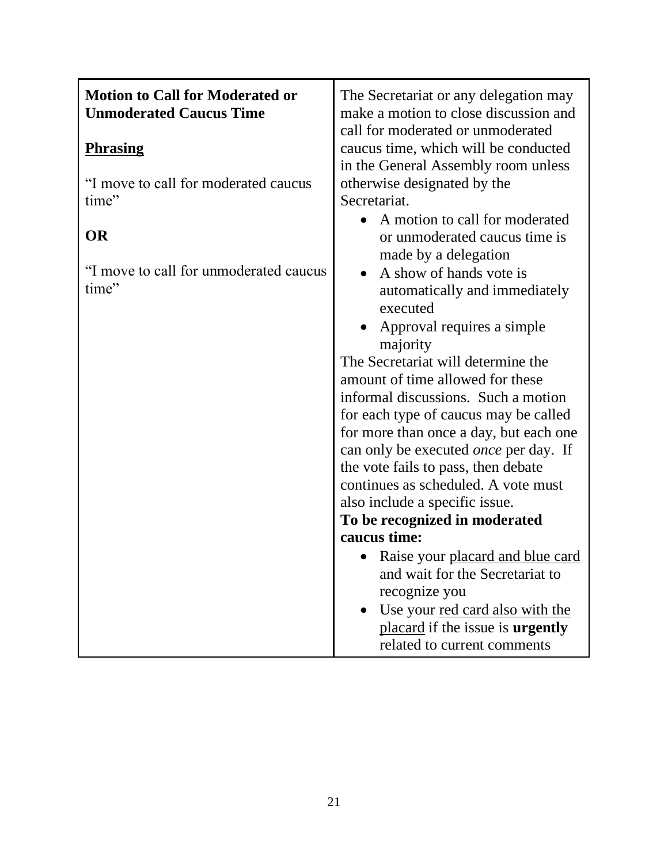| <b>Motion to Call for Moderated or</b><br><b>Unmoderated Caucus Time</b> | The Secretariat or any delegation may<br>make a motion to close discussion and<br>call for moderated or unmoderated                                                                                                                                                                                                                                                                                                                                                                                                                                      |
|--------------------------------------------------------------------------|----------------------------------------------------------------------------------------------------------------------------------------------------------------------------------------------------------------------------------------------------------------------------------------------------------------------------------------------------------------------------------------------------------------------------------------------------------------------------------------------------------------------------------------------------------|
| <b>Phrasing</b>                                                          | caucus time, which will be conducted                                                                                                                                                                                                                                                                                                                                                                                                                                                                                                                     |
| "I move to call for moderated caucus<br>time"                            | in the General Assembly room unless<br>otherwise designated by the<br>Secretariat.<br>A motion to call for moderated<br>$\bullet$                                                                                                                                                                                                                                                                                                                                                                                                                        |
| <b>OR</b>                                                                | or unmoderated caucus time is                                                                                                                                                                                                                                                                                                                                                                                                                                                                                                                            |
| "I move to call for unmoderated caucus<br>time"                          | made by a delegation<br>A show of hands vote is<br>$\bullet$<br>automatically and immediately<br>executed<br>Approval requires a simple<br>majority<br>The Secretariat will determine the<br>amount of time allowed for these<br>informal discussions. Such a motion<br>for each type of caucus may be called<br>for more than once a day, but each one<br>can only be executed <i>once</i> per day. If<br>the vote fails to pass, then debate<br>continues as scheduled. A vote must<br>also include a specific issue.<br>To be recognized in moderated |
|                                                                          | caucus time:                                                                                                                                                                                                                                                                                                                                                                                                                                                                                                                                             |
|                                                                          | Raise your placard and blue card<br>and wait for the Secretariat to<br>recognize you<br>Use your red card also with the<br>placard if the issue is <b>urgently</b><br>related to current comments                                                                                                                                                                                                                                                                                                                                                        |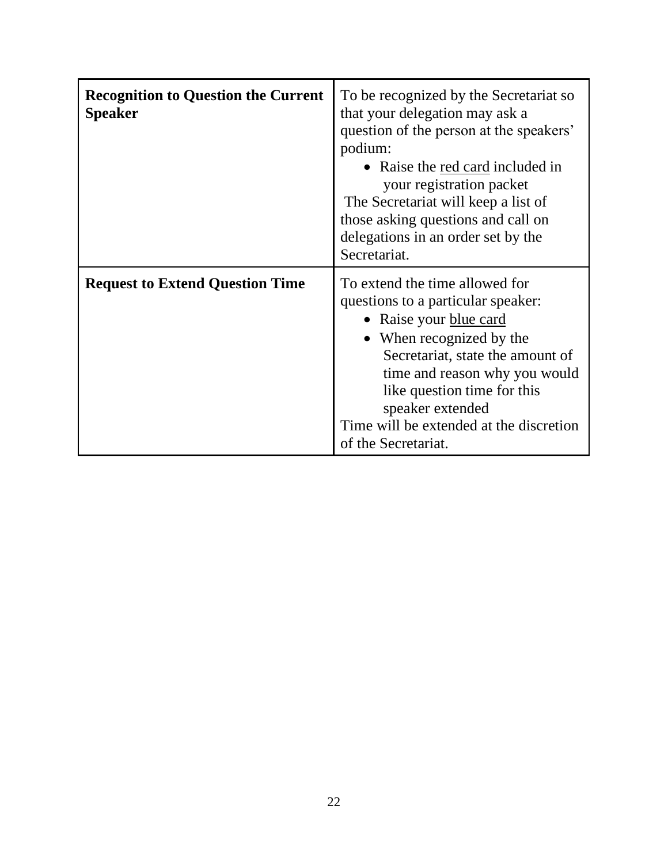| <b>Recognition to Question the Current</b><br><b>Speaker</b> | To be recognized by the Secretariat so<br>that your delegation may ask a<br>question of the person at the speakers'<br>podium:<br>• Raise the red card included in<br>your registration packet<br>The Secretariat will keep a list of<br>those asking questions and call on<br>delegations in an order set by the<br>Secretariat. |
|--------------------------------------------------------------|-----------------------------------------------------------------------------------------------------------------------------------------------------------------------------------------------------------------------------------------------------------------------------------------------------------------------------------|
| <b>Request to Extend Question Time</b>                       | To extend the time allowed for<br>questions to a particular speaker:<br>• Raise your blue card<br>• When recognized by the<br>Secretariat, state the amount of<br>time and reason why you would<br>like question time for this<br>speaker extended<br>Time will be extended at the discretion<br>of the Secretariat.              |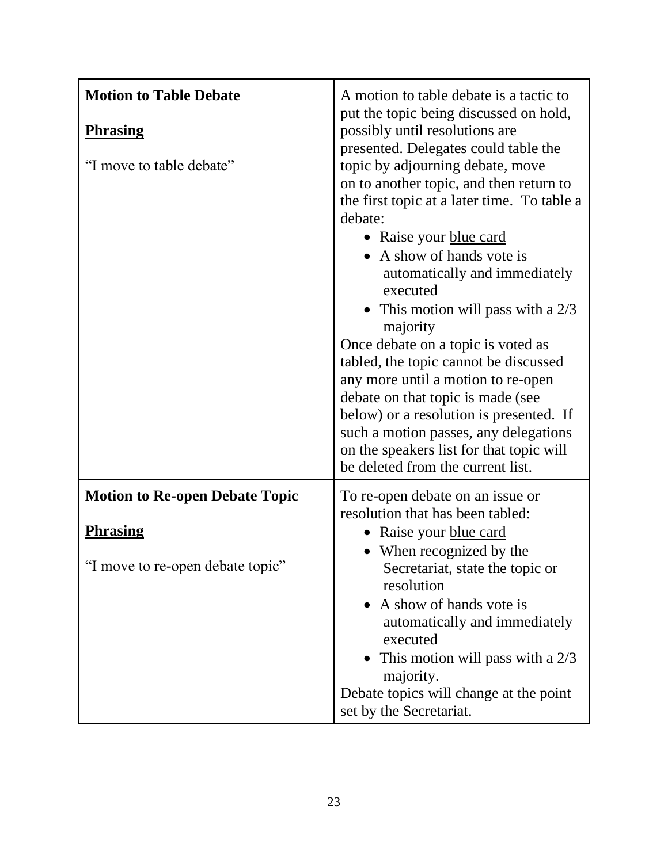| <b>Motion to Table Debate</b>               | A motion to table debate is a tactic to                                                                                                                                                                                                                                                                                                                                                                                                                                                                                                                                                                                                                                                                                                      |
|---------------------------------------------|----------------------------------------------------------------------------------------------------------------------------------------------------------------------------------------------------------------------------------------------------------------------------------------------------------------------------------------------------------------------------------------------------------------------------------------------------------------------------------------------------------------------------------------------------------------------------------------------------------------------------------------------------------------------------------------------------------------------------------------------|
| <b>Phrasing</b><br>"I move to table debate" | put the topic being discussed on hold,<br>possibly until resolutions are<br>presented. Delegates could table the<br>topic by adjourning debate, move<br>on to another topic, and then return to<br>the first topic at a later time. To table a<br>debate:<br>• Raise your blue card<br>A show of hands vote is<br>automatically and immediately<br>executed<br>This motion will pass with a $2/3$<br>majority<br>Once debate on a topic is voted as<br>tabled, the topic cannot be discussed<br>any more until a motion to re-open<br>debate on that topic is made (see<br>below) or a resolution is presented. If<br>such a motion passes, any delegations<br>on the speakers list for that topic will<br>be deleted from the current list. |
| <b>Motion to Re-open Debate Topic</b>       | To re-open debate on an issue or<br>resolution that has been tabled:                                                                                                                                                                                                                                                                                                                                                                                                                                                                                                                                                                                                                                                                         |
| <b>Phrasing</b>                             | • Raise your blue card                                                                                                                                                                                                                                                                                                                                                                                                                                                                                                                                                                                                                                                                                                                       |
| "I move to re-open debate topic"            | When recognized by the<br>Secretariat, state the topic or<br>resolution<br>• A show of hands vote is<br>automatically and immediately<br>executed<br>• This motion will pass with a $2/3$<br>majority.<br>Debate topics will change at the point<br>set by the Secretariat.                                                                                                                                                                                                                                                                                                                                                                                                                                                                  |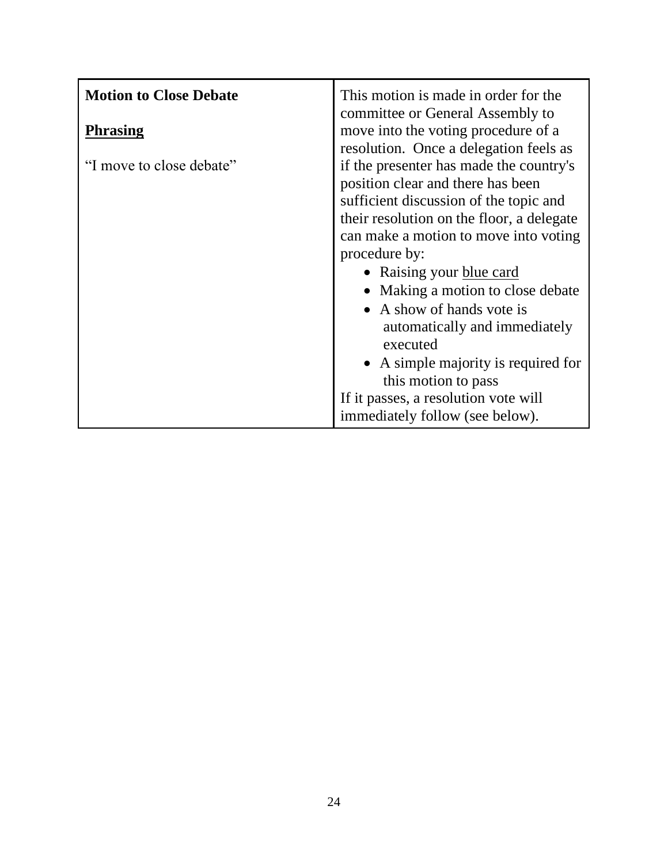| <b>Motion to Close Debate</b><br><b>Phrasing</b> | This motion is made in order for the<br>committee or General Assembly to<br>move into the voting procedure of a<br>resolution. Once a delegation feels as                                                                                                                                                                                                                                                                                                                                                         |
|--------------------------------------------------|-------------------------------------------------------------------------------------------------------------------------------------------------------------------------------------------------------------------------------------------------------------------------------------------------------------------------------------------------------------------------------------------------------------------------------------------------------------------------------------------------------------------|
| "I move to close debate"                         | if the presenter has made the country's<br>position clear and there has been<br>sufficient discussion of the topic and<br>their resolution on the floor, a delegate<br>can make a motion to move into voting<br>procedure by:<br>• Raising your blue card<br>• Making a motion to close debate<br>• A show of hands vote is<br>automatically and immediately<br>executed<br>• A simple majority is required for<br>this motion to pass<br>If it passes, a resolution vote will<br>immediately follow (see below). |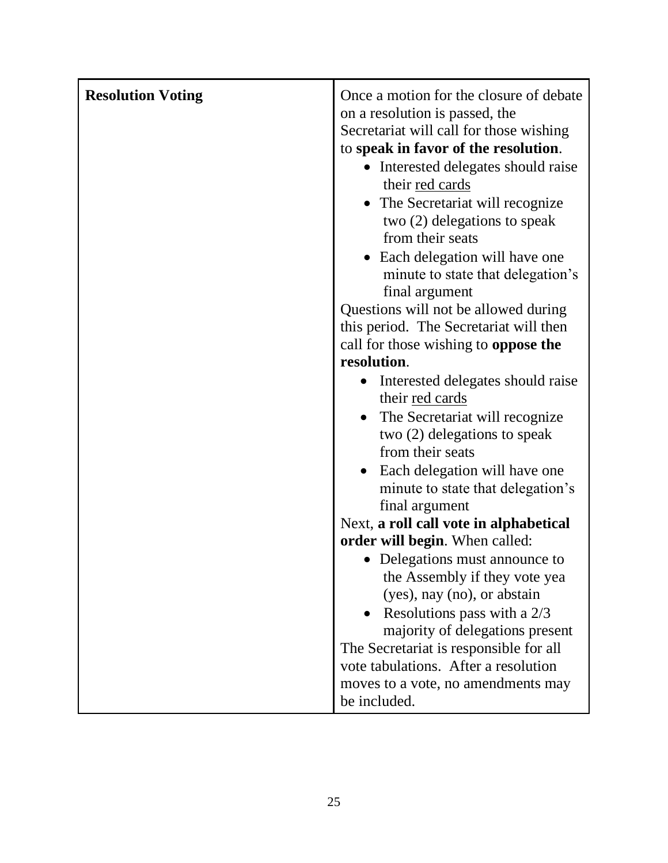| <b>Resolution Voting</b> | Once a motion for the closure of debate<br>on a resolution is passed, the<br>Secretariat will call for those wishing |
|--------------------------|----------------------------------------------------------------------------------------------------------------------|
|                          | to speak in favor of the resolution.                                                                                 |
|                          | • Interested delegates should raise                                                                                  |
|                          | their red cards                                                                                                      |
|                          | • The Secretariat will recognize                                                                                     |
|                          | two (2) delegations to speak                                                                                         |
|                          | from their seats                                                                                                     |
|                          | Each delegation will have one                                                                                        |
|                          | minute to state that delegation's                                                                                    |
|                          | final argument<br>Questions will not be allowed during                                                               |
|                          | this period. The Secretariat will then                                                                               |
|                          | call for those wishing to <b>oppose the</b>                                                                          |
|                          | resolution.                                                                                                          |
|                          | Interested delegates should raise                                                                                    |
|                          | their red cards                                                                                                      |
|                          | The Secretariat will recognize<br>$\bullet$                                                                          |
|                          | two (2) delegations to speak                                                                                         |
|                          | from their seats                                                                                                     |
|                          | Each delegation will have one                                                                                        |
|                          | minute to state that delegation's                                                                                    |
|                          | final argument<br>Next, a roll call vote in alphabetical                                                             |
|                          | order will begin. When called:                                                                                       |
|                          | • Delegations must announce to                                                                                       |
|                          | the Assembly if they vote yea                                                                                        |
|                          | (yes), nay (no), or abstain                                                                                          |
|                          | Resolutions pass with a 2/3                                                                                          |
|                          | majority of delegations present                                                                                      |
|                          | The Secretariat is responsible for all                                                                               |
|                          | vote tabulations. After a resolution                                                                                 |
|                          | moves to a vote, no amendments may                                                                                   |
|                          | be included.                                                                                                         |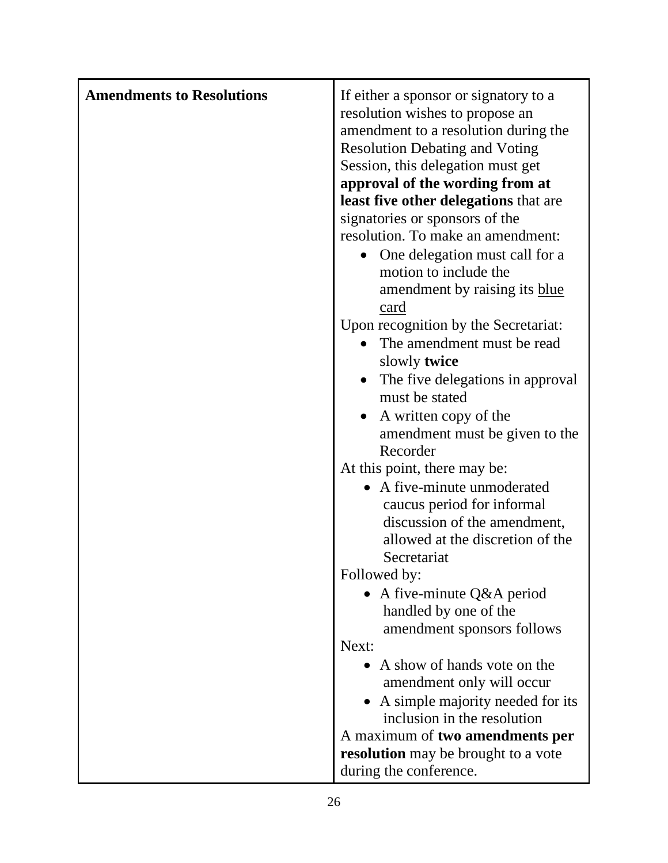| <b>Amendments to Resolutions</b> | If either a sponsor or signatory to a         |
|----------------------------------|-----------------------------------------------|
|                                  | resolution wishes to propose an               |
|                                  | amendment to a resolution during the          |
|                                  | <b>Resolution Debating and Voting</b>         |
|                                  | Session, this delegation must get             |
|                                  | approval of the wording from at               |
|                                  | least five other delegations that are         |
|                                  | signatories or sponsors of the                |
|                                  | resolution. To make an amendment:             |
|                                  | One delegation must call for a<br>$\bullet$   |
|                                  | motion to include the                         |
|                                  | amendment by raising its blue                 |
|                                  | card                                          |
|                                  | Upon recognition by the Secretariat:          |
|                                  | The amendment must be read                    |
|                                  | slowly <b>twice</b>                           |
|                                  | The five delegations in approval<br>$\bullet$ |
|                                  | must be stated                                |
|                                  | • A written copy of the                       |
|                                  | amendment must be given to the                |
|                                  | Recorder                                      |
|                                  | At this point, there may be:                  |
|                                  | • A five-minute unmoderated                   |
|                                  | caucus period for informal                    |
|                                  | discussion of the amendment,                  |
|                                  | allowed at the discretion of the              |
|                                  | Secretariat                                   |
|                                  | Followed by:                                  |
|                                  | • A five-minute $Q&A$ period                  |
|                                  | handled by one of the                         |
|                                  | amendment sponsors follows                    |
|                                  | Next:                                         |
|                                  | • A show of hands vote on the                 |
|                                  | amendment only will occur                     |
|                                  | A simple majority needed for its              |
|                                  | inclusion in the resolution                   |
|                                  | A maximum of <b>two amendments per</b>        |
|                                  | resolution may be brought to a vote           |
|                                  | during the conference.                        |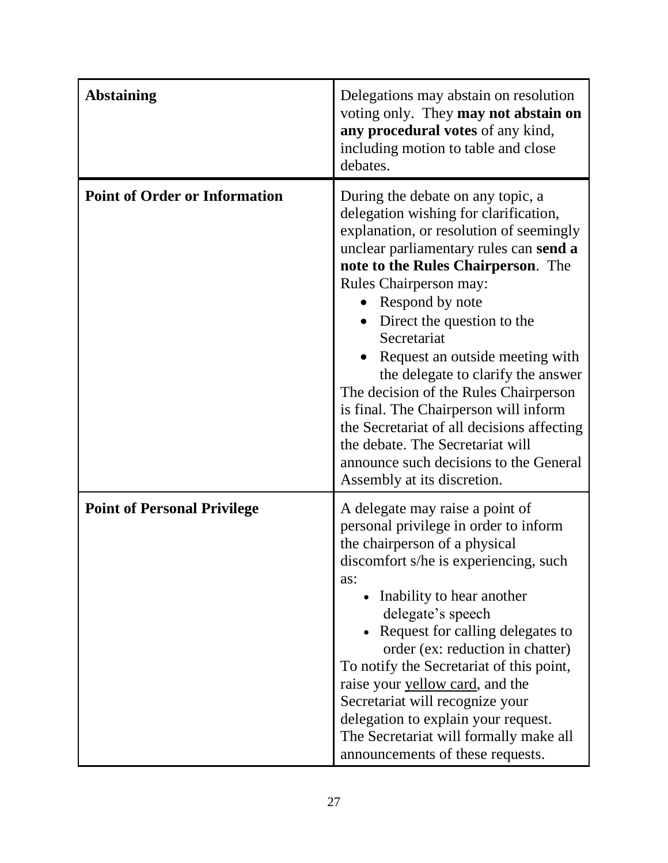| <b>Abstaining</b>                    | Delegations may abstain on resolution<br>voting only. They may not abstain on<br>any procedural votes of any kind,<br>including motion to table and close<br>debates.                                                                                                                                                                                                                                                                                                                                                                                                                                                        |
|--------------------------------------|------------------------------------------------------------------------------------------------------------------------------------------------------------------------------------------------------------------------------------------------------------------------------------------------------------------------------------------------------------------------------------------------------------------------------------------------------------------------------------------------------------------------------------------------------------------------------------------------------------------------------|
| <b>Point of Order or Information</b> | During the debate on any topic, a<br>delegation wishing for clarification,<br>explanation, or resolution of seemingly<br>unclear parliamentary rules can send a<br>note to the Rules Chairperson. The<br><b>Rules Chairperson may:</b><br>Respond by note<br>Direct the question to the<br>Secretariat<br>Request an outside meeting with<br>the delegate to clarify the answer<br>The decision of the Rules Chairperson<br>is final. The Chairperson will inform<br>the Secretariat of all decisions affecting<br>the debate. The Secretariat will<br>announce such decisions to the General<br>Assembly at its discretion. |
| <b>Point of Personal Privilege</b>   | A delegate may raise a point of<br>personal privilege in order to inform<br>the chairperson of a physical<br>discomfort s/he is experiencing, such<br>as:<br>• Inability to hear another<br>delegate's speech<br>Request for calling delegates to<br>order (ex: reduction in chatter)<br>To notify the Secretariat of this point,<br>raise your yellow card, and the<br>Secretariat will recognize your<br>delegation to explain your request.<br>The Secretariat will formally make all<br>announcements of these requests.                                                                                                 |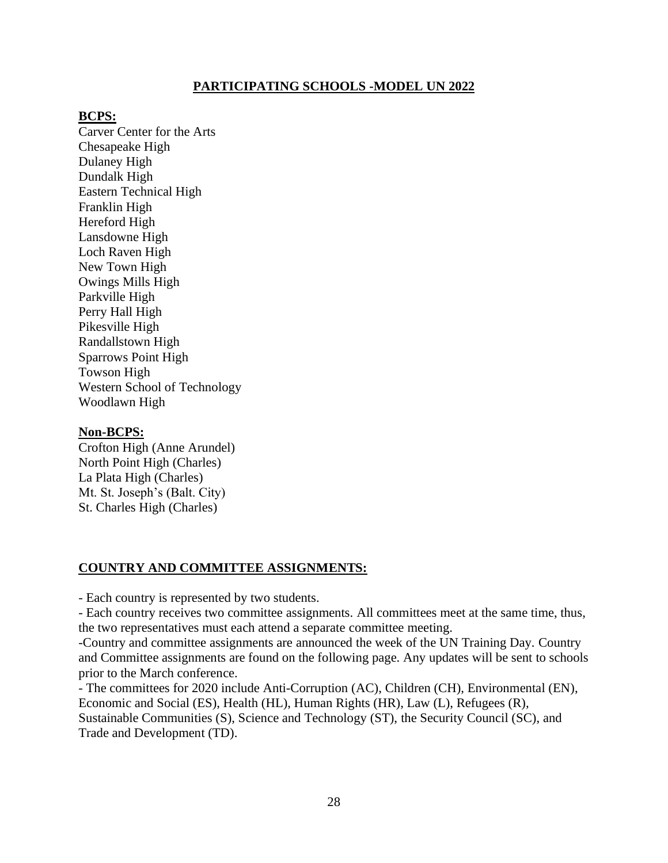## **PARTICIPATING SCHOOLS -MODEL UN 2022**

#### **BCPS:**

Carver Center for the Arts Chesapeake High Dulaney High Dundalk High Eastern Technical High Franklin High Hereford High Lansdowne High Loch Raven High New Town High Owings Mills High Parkville High Perry Hall High Pikesville High Randallstown High Sparrows Point High Towson High Western School of Technology Woodlawn High

#### **Non-BCPS:**

Crofton High (Anne Arundel) North Point High (Charles) La Plata High (Charles) Mt. St. Joseph's (Balt. City) St. Charles High (Charles)

#### **COUNTRY AND COMMITTEE ASSIGNMENTS:**

- Each country is represented by two students.

- Each country receives two committee assignments. All committees meet at the same time, thus, the two representatives must each attend a separate committee meeting.

-Country and committee assignments are announced the week of the UN Training Day. Country and Committee assignments are found on the following page. Any updates will be sent to schools prior to the March conference.

- The committees for 2020 include Anti-Corruption (AC), Children (CH), Environmental (EN), Economic and Social (ES), Health (HL), Human Rights (HR), Law (L), Refugees (R), Sustainable Communities (S), Science and Technology (ST), the Security Council (SC), and Trade and Development (TD).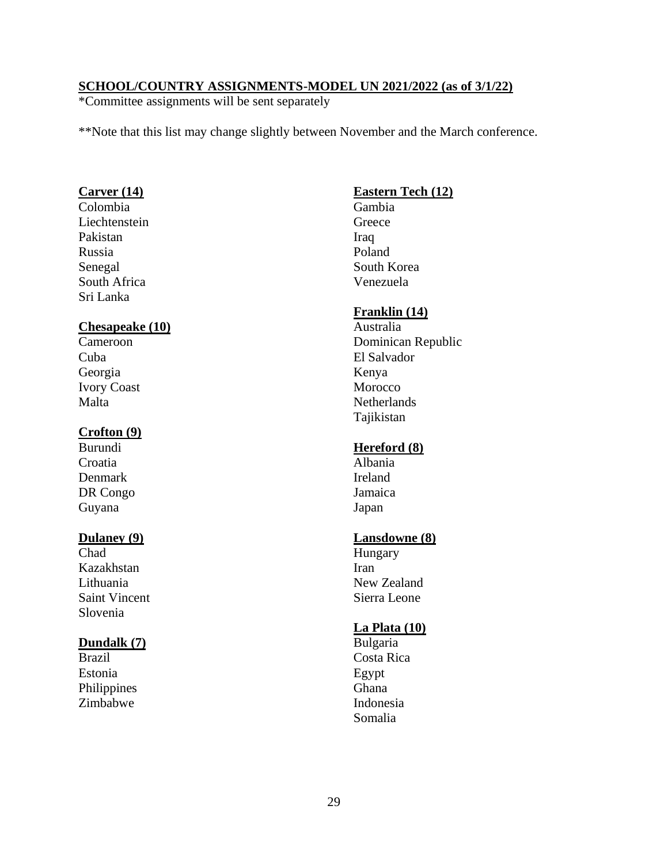## **SCHOOL/COUNTRY ASSIGNMENTS-MODEL UN 2021/2022 (as of 3/1/22)**

\*Committee assignments will be sent separately

\*\*Note that this list may change slightly between November and the March conference.

## **Carver (14)**

Colombia Liechtenstein Pakistan Russia Senegal South Africa Sri Lanka

#### **Chesapeake (10)**

Cameroon Cuba Georgia Ivory Coast Malta

#### **Crofton (9)**

Burundi **Croatia** Denmark DR Congo Guyana

#### **Dulaney (9)**

**Chad** Kazakhstan Lithuania Saint Vincent Slovenia

### **Dundalk (7)**

Brazil Estonia Philippines Zimbabwe

## **Eastern Tech (12)**

Gambia Greece Iraq Poland South Korea Venezuela

#### **Franklin (14)**

Australia Dominican Republic El Salvador Kenya Morocco **Netherlands** Tajikistan

#### **Hereford (8)**

Albania Ireland Jamaica Japan

#### **Lansdowne (8)**

Hungary Iran New Zealand Sierra Leone

#### **La Plata (10)**

Bulgaria Costa Rica Egypt Ghana Indonesia Somalia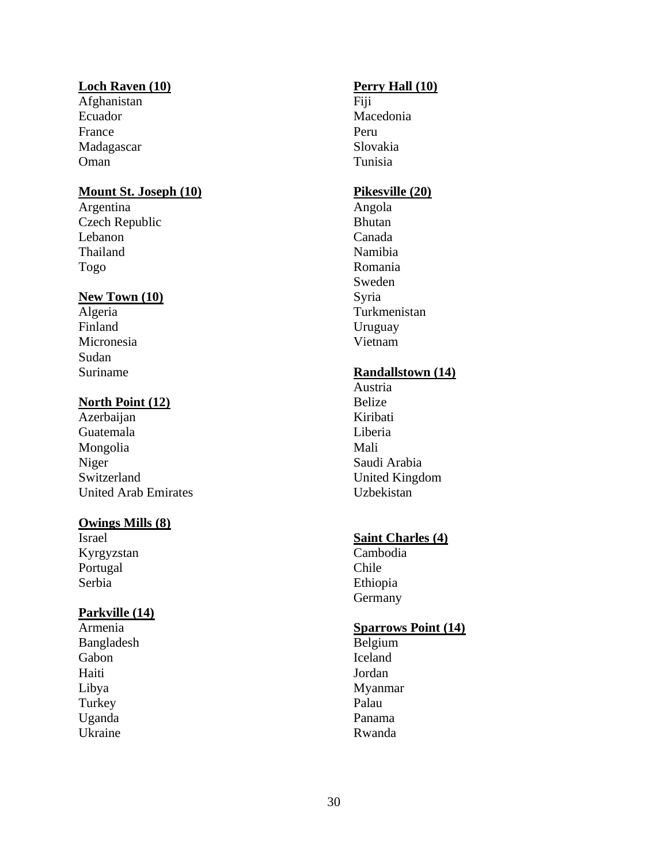#### **Loch Raven (10)**

Afghanistan Ecuador France Madagascar Oman

## **Mount St. Joseph (10)**

Argentina Czech Republic Lebanon Thailand Togo

#### **New Town (10)**

Algeria Finland Micronesia Sudan Suriname

## **North Point (12)**

Azerbaijan Guatemala Mongolia Niger Switzerland United Arab Emirates

## **Owings Mills (8)**

Israel Kyrgyzstan Portugal Serbia

#### **Parkville (14)**

Armenia Bangladesh Gabon Haiti Libya Turkey Uganda Ukraine

## **Perry Hall (10)**

Fiji Macedonia Peru Slovakia Tunisia

## **Pikesville (20)**

Angola Bhutan Canada Namibia Romania Sweden Syria Turkmenistan Uruguay Vietnam

## **Randallstown (14)**

Austria Belize Kiribati Liberia Mali Saudi Arabia United Kingdom Uzbekistan

### **Saint Charles (4)**

Cambodia Chile Ethiopia Germany

#### **Sparrows Point (14)**

Belgium Iceland Jordan Myanmar Palau Panama Rwanda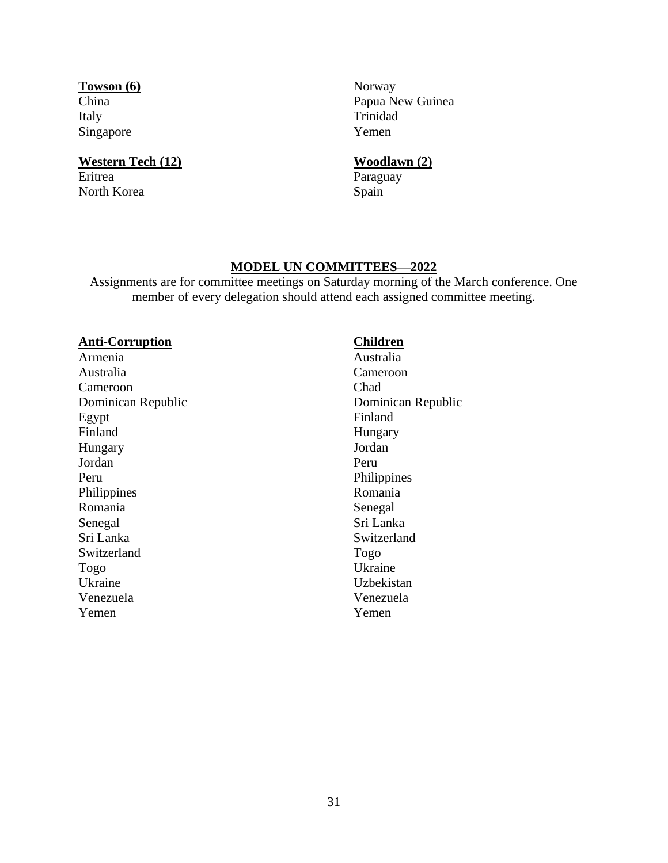**Towson (6)** China Italy Singapore

#### **Western Tech (12)** Eritrea

North Korea

Norway Papua New Guinea Trinidad Yemen

## **Woodlawn (2)**

Paraguay Spain

## **MODEL UN COMMITTEES—2022**

Assignments are for committee meetings on Saturday morning of the March conference. One member of every delegation should attend each assigned committee meeting.

### **Anti-Corruption**

Armenia Australia Cameroon Dominican Republic Egypt Finland Hungary Jordan Peru Philippines Romania Senegal Sri Lanka Switzerland Togo Ukraine Venezuela Yemen

## **Children**

Australia Cameroon Chad Dominican Republic Finland Hungary Jordan Peru Philippines Romania Senegal Sri Lanka Switzerland Togo Ukraine Uzbekistan Venezuela Yemen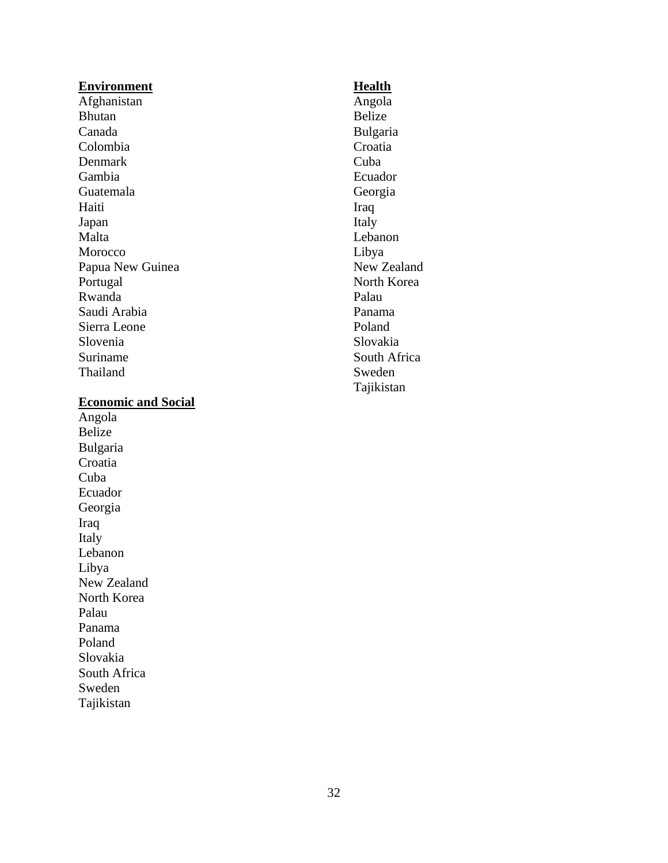#### **Environment**

Afghanistan Bhutan Canada Colombia Denmark Gambia Guatemala Haiti Japan Malta Morocco Papua New Guinea Portugal Rwanda Saudi Arabia Sierra Leone Slovenia Suriname Thailand

#### **Economic and Social**

Angola Belize Bulgaria Croatia Cuba Ecuador Georgia Iraq Italy Lebanon Libya New Zealand North Korea Palau Panama Poland Slovakia South Africa Sweden Tajikistan

#### **Health**

Angola Belize Bulgaria Croatia Cuba Ecuador Georgia Iraq Italy Lebanon Libya New Zealand North Korea Palau Panama Poland Slovakia South Africa Sweden Tajikistan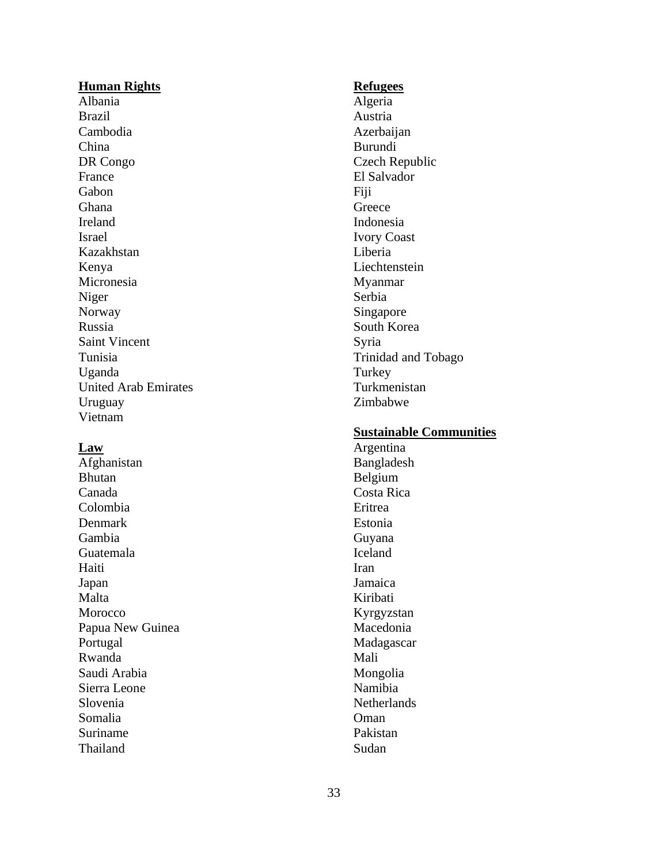#### **Human Rights**

Albania Brazil Cambodia China DR Congo France Gabon Ghana Ireland Israel Kazakhstan Kenya Micronesia Niger Norway Russia Saint Vincent Tunisia Uganda United Arab Emirates Uruguay Vietnam

#### **Law**

Afghanistan Bhutan Canada Colombia Denmark Gambia Guatemala Haiti Japan Malta Morocco Papua New Guinea Portugal Rwanda Saudi Arabia Sierra Leone Slovenia Somalia Suriname Thailand

#### **Refugees**

Algeria Austria Azerbaijan Burundi Czech Republic El Salvador Fiji **Greece** Indonesia Ivory Coast Liberia Liechtenstein Myanmar Serbia Singapore South Korea Syria Trinidad and Tobago **Turkey** Turkmenistan Zimbabwe

## **Sustainable Communities**

Argentina Bangladesh Belgium Costa Rica Eritrea Estonia Guyana Iceland Iran Jamaica Kiribati Kyrgyzstan Macedonia Madagascar Mali Mongolia Namibia **Netherlands** Oman Pakistan Sudan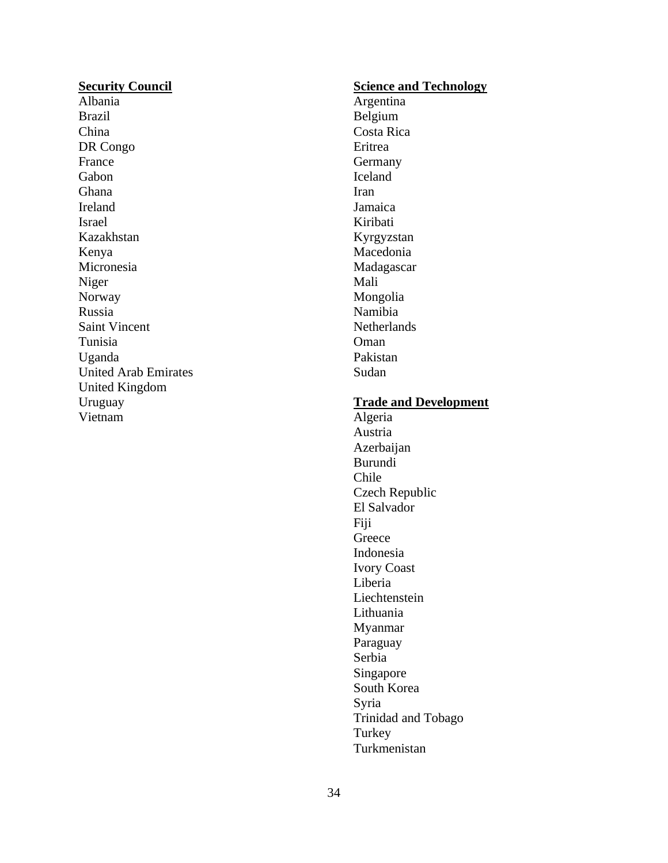#### **Security Council**

Albania Brazil China DR Congo France Gabon Ghana Ireland Israel Kazakhstan Kenya Micronesia Niger Norway Russia Saint Vincent Tunisia Uganda United Arab Emirates United Kingdom Uruguay Vietnam

## **Science and Technology**

Argentina Belgium Costa Rica Eritrea Germany Iceland Iran Jamaica Kiribati Kyrgyzstan Macedonia Madagascar Mali Mongolia Namibia **Netherlands** Oman Pakistan Sudan

#### **Trade and Development**

Algeria Austria Azerbaijan Burundi Chile Czech Republic El Salvador Fiji **Greece** Indonesia Ivory Coast Liberia Liechtenstein Lithuania Myanmar Paraguay Serbia Singapore South Korea Syria Trinidad and Tobago Turkey Turkmenistan